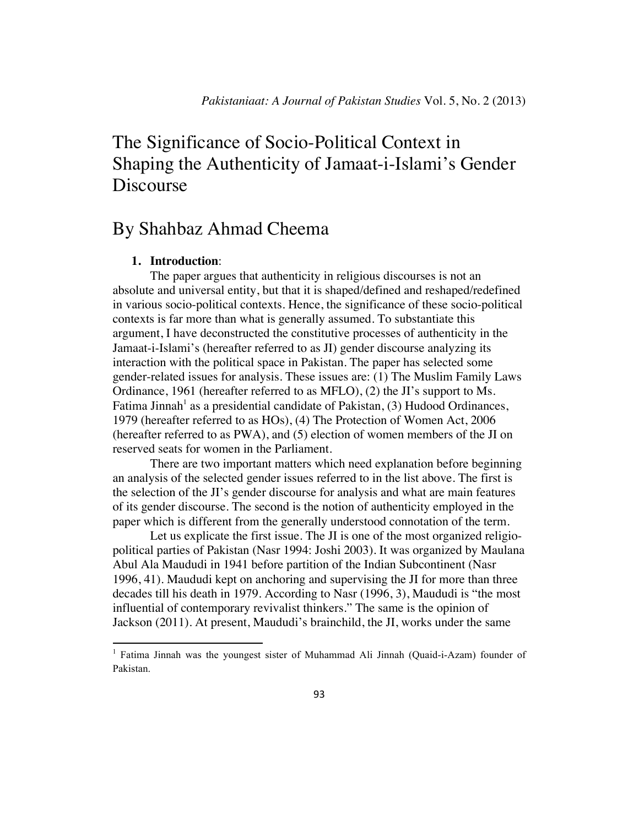# The Significance of Socio-Political Context in Shaping the Authenticity of Jamaat-i-Islami's Gender Discourse

## By Shahbaz Ahmad Cheema

## **1. Introduction**:

!!!!!!!!!!!!!!!!!!!!!!!!!!!!!!!!!!!!!!!!!!!!!!!!!!!!!!!!!!!!

The paper argues that authenticity in religious discourses is not an absolute and universal entity, but that it is shaped/defined and reshaped/redefined in various socio-political contexts. Hence, the significance of these socio-political contexts is far more than what is generally assumed. To substantiate this argument, I have deconstructed the constitutive processes of authenticity in the Jamaat-i-Islami's (hereafter referred to as JI) gender discourse analyzing its interaction with the political space in Pakistan. The paper has selected some gender-related issues for analysis. These issues are: (1) The Muslim Family Laws Ordinance, 1961 (hereafter referred to as MFLO), (2) the JI's support to Ms. Fatima Jinnah<sup>1</sup> as a presidential candidate of Pakistan,  $(3)$  Hudood Ordinances, 1979 (hereafter referred to as HOs), (4) The Protection of Women Act, 2006 (hereafter referred to as PWA), and (5) election of women members of the JI on reserved seats for women in the Parliament.

There are two important matters which need explanation before beginning an analysis of the selected gender issues referred to in the list above. The first is the selection of the JI's gender discourse for analysis and what are main features of its gender discourse. The second is the notion of authenticity employed in the paper which is different from the generally understood connotation of the term.

Let us explicate the first issue. The JI is one of the most organized religiopolitical parties of Pakistan (Nasr 1994: Joshi 2003). It was organized by Maulana Abul Ala Maududi in 1941 before partition of the Indian Subcontinent (Nasr 1996, 41). Maududi kept on anchoring and supervising the JI for more than three decades till his death in 1979. According to Nasr (1996, 3), Maududi is "the most influential of contemporary revivalist thinkers." The same is the opinion of Jackson (2011). At present, Maududi's brainchild, the JI, works under the same

<sup>&</sup>lt;sup>1</sup> Fatima Jinnah was the youngest sister of Muhammad Ali Jinnah (Quaid-i-Azam) founder of Pakistan.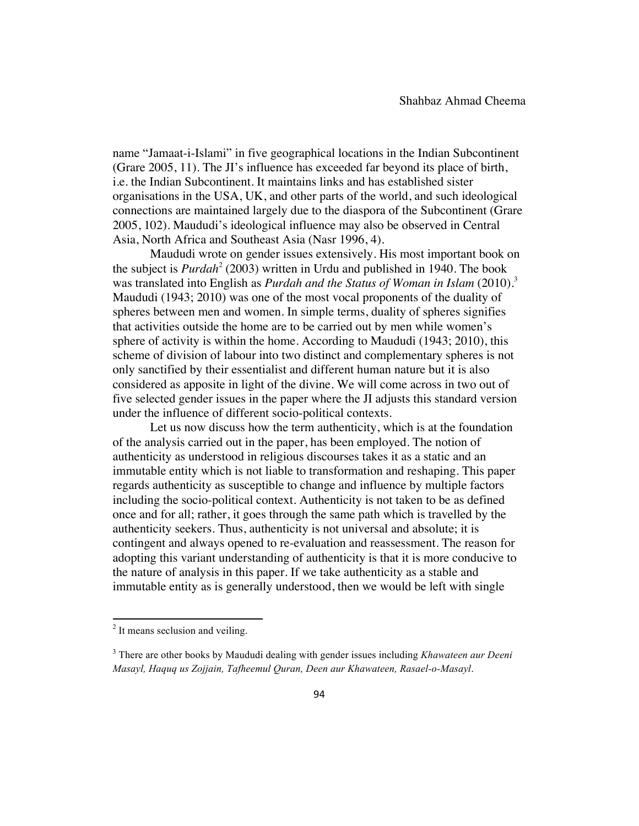name "Jamaat-i-Islami" in five geographical locations in the Indian Subcontinent (Grare 2005, 11). The JI's influence has exceeded far beyond its place of birth, i.e. the Indian Subcontinent. It maintains links and has established sister organisations in the USA, UK, and other parts of the world, and such ideological connections are maintained largely due to the diaspora of the Subcontinent (Grare 2005, 102). Maududi's ideological influence may also be observed in Central Asia, North Africa and Southeast Asia (Nasr 1996, 4).

Maududi wrote on gender issues extensively. His most important book on the subject is *Purdah<sup>2</sup>* (2003) written in Urdu and published in 1940. The book was translated into English as *Purdah and the Status of Woman in Islam* (2010).<sup>3</sup> Maududi (1943; 2010) was one of the most vocal proponents of the duality of spheres between men and women. In simple terms, duality of spheres signifies that activities outside the home are to be carried out by men while women's sphere of activity is within the home. According to Maududi (1943; 2010), this scheme of division of labour into two distinct and complementary spheres is not only sanctified by their essentialist and different human nature but it is also considered as apposite in light of the divine. We will come across in two out of five selected gender issues in the paper where the JI adjusts this standard version under the influence of different socio-political contexts.

Let us now discuss how the term authenticity, which is at the foundation of the analysis carried out in the paper, has been employed. The notion of authenticity as understood in religious discourses takes it as a static and an immutable entity which is not liable to transformation and reshaping. This paper regards authenticity as susceptible to change and influence by multiple factors including the socio-political context. Authenticity is not taken to be as defined once and for all; rather, it goes through the same path which is travelled by the authenticity seekers. Thus, authenticity is not universal and absolute; it is contingent and always opened to re-evaluation and reassessment. The reason for adopting this variant understanding of authenticity is that it is more conducive to the nature of analysis in this paper. If we take authenticity as a stable and immutable entity as is generally understood, then we would be left with single

<sup>&</sup>lt;sup>2</sup> It means seclusion and veiling.

<sup>3</sup> There are other books by Maududi dealing with gender issues including *Khawateen aur Deeni Masayl, Haquq us Zojjain, Tafheemul Quran, Deen aur Khawateen, Rasael-o-Masayl*.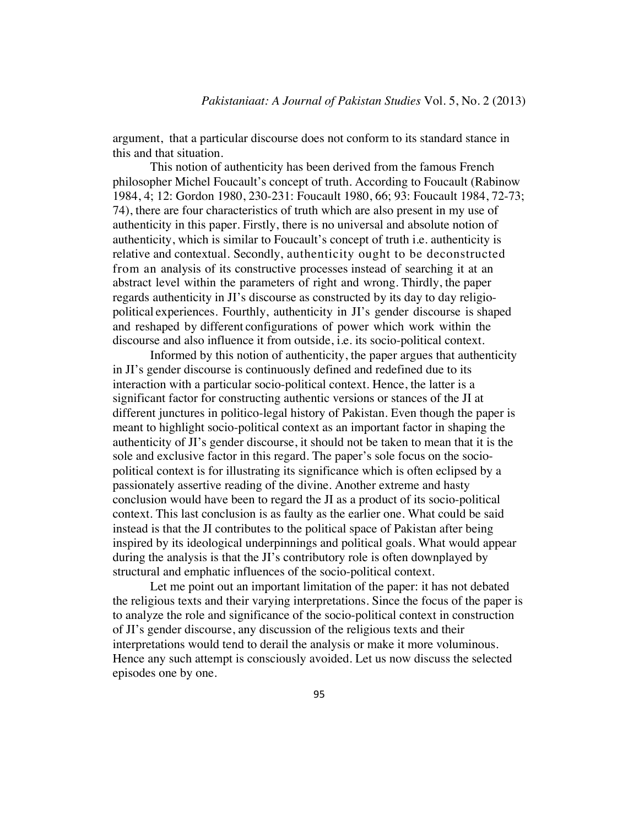argument, that a particular discourse does not conform to its standard stance in this and that situation.

This notion of authenticity has been derived from the famous French philosopher Michel Foucault's concept of truth. According to Foucault (Rabinow 1984, 4; 12: Gordon 1980, 230-231: Foucault 1980, 66; 93: Foucault 1984, 72-73; 74), there are four characteristics of truth which are also present in my use of authenticity in this paper. Firstly, there is no universal and absolute notion of authenticity, which is similar to Foucault's concept of truth i.e. authenticity is relative and contextual. Secondly, authenticity ought to be deconstructed from an analysis of its constructive processes instead of searching it at an abstract level within the parameters of right and wrong. Thirdly, the paper regards authenticity in JI's discourse as constructed by its day to day religiopolitical experiences. Fourthly, authenticity in JI's gender discourse is shaped and reshaped by different configurations of power which work within the discourse and also influence it from outside, i.e. its socio-political context.

Informed by this notion of authenticity, the paper argues that authenticity in JI's gender discourse is continuously defined and redefined due to its interaction with a particular socio-political context. Hence, the latter is a significant factor for constructing authentic versions or stances of the JI at different junctures in politico-legal history of Pakistan. Even though the paper is meant to highlight socio-political context as an important factor in shaping the authenticity of JI's gender discourse, it should not be taken to mean that it is the sole and exclusive factor in this regard. The paper's sole focus on the sociopolitical context is for illustrating its significance which is often eclipsed by a passionately assertive reading of the divine. Another extreme and hasty conclusion would have been to regard the JI as a product of its socio-political context. This last conclusion is as faulty as the earlier one. What could be said instead is that the JI contributes to the political space of Pakistan after being inspired by its ideological underpinnings and political goals. What would appear during the analysis is that the JI's contributory role is often downplayed by structural and emphatic influences of the socio-political context.

Let me point out an important limitation of the paper: it has not debated the religious texts and their varying interpretations. Since the focus of the paper is to analyze the role and significance of the socio-political context in construction of JI's gender discourse, any discussion of the religious texts and their interpretations would tend to derail the analysis or make it more voluminous. Hence any such attempt is consciously avoided. Let us now discuss the selected episodes one by one.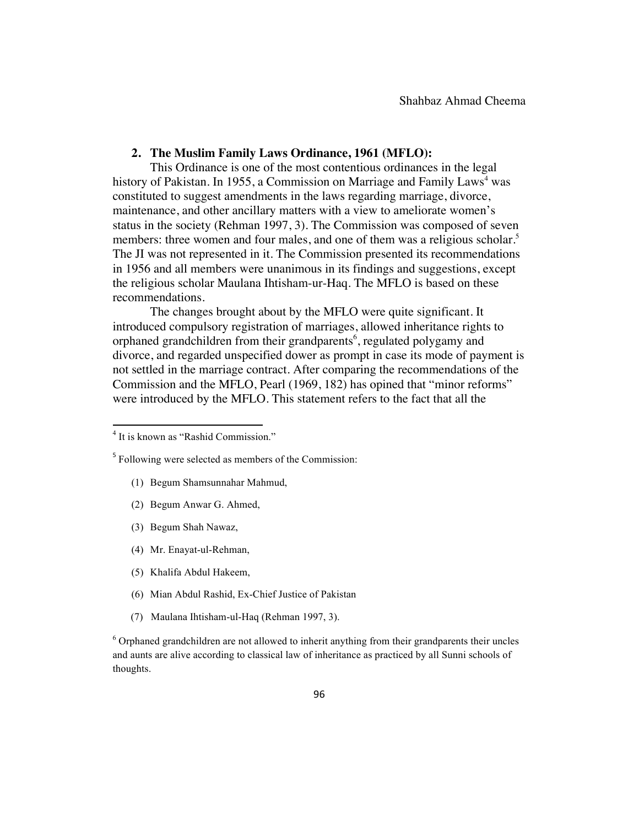## **2. The Muslim Family Laws Ordinance, 1961 (MFLO):**

This Ordinance is one of the most contentious ordinances in the legal history of Pakistan. In 1955, a Commission on Marriage and Family Laws<sup>4</sup> was constituted to suggest amendments in the laws regarding marriage, divorce, maintenance, and other ancillary matters with a view to ameliorate women's status in the society (Rehman 1997, 3). The Commission was composed of seven members: three women and four males, and one of them was a religious scholar.<sup>5</sup> The JI was not represented in it. The Commission presented its recommendations in 1956 and all members were unanimous in its findings and suggestions, except the religious scholar Maulana Ihtisham-ur-Haq. The MFLO is based on these recommendations.

The changes brought about by the MFLO were quite significant. It introduced compulsory registration of marriages, allowed inheritance rights to orphaned grandchildren from their grandparents<sup>6</sup>, regulated polygamy and divorce, and regarded unspecified dower as prompt in case its mode of payment is not settled in the marriage contract. After comparing the recommendations of the Commission and the MFLO, Pearl (1969, 182) has opined that "minor reforms" were introduced by the MFLO. This statement refers to the fact that all the

- (1) Begum Shamsunnahar Mahmud,
- (2) Begum Anwar G. Ahmed,
- (3) Begum Shah Nawaz,
- (4) Mr. Enayat-ul-Rehman,
- (5) Khalifa Abdul Hakeem,
- (6) Mian Abdul Rashid, Ex-Chief Justice of Pakistan
- (7) Maulana Ihtisham-ul-Haq (Rehman 1997, 3).

 $6$  Orphaned grandchildren are not allowed to inherit anything from their grandparents their uncles and aunts are alive according to classical law of inheritance as practiced by all Sunni schools of thoughts.

<sup>!!!!!!!!!!!!!!!!!!!!!!!!!!!!!!!!!!!!!!!!!!!!!!!!!!!!!!!!!!!!</sup> <sup>4</sup> It is known as "Rashid Commission."

<sup>5</sup> Following were selected as members of the Commission: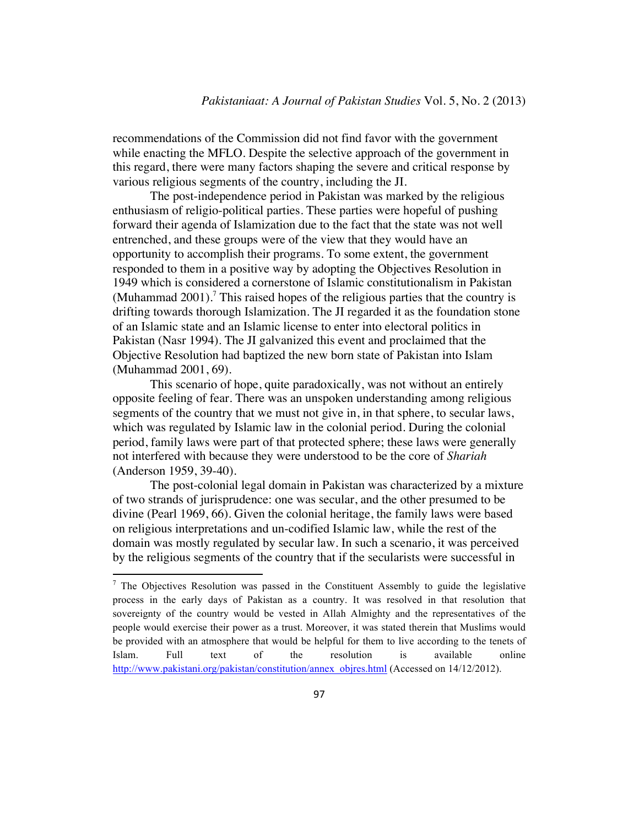recommendations of the Commission did not find favor with the government while enacting the MFLO. Despite the selective approach of the government in this regard, there were many factors shaping the severe and critical response by various religious segments of the country, including the JI.

The post-independence period in Pakistan was marked by the religious enthusiasm of religio-political parties. These parties were hopeful of pushing forward their agenda of Islamization due to the fact that the state was not well entrenched, and these groups were of the view that they would have an opportunity to accomplish their programs. To some extent, the government responded to them in a positive way by adopting the Objectives Resolution in 1949 which is considered a cornerstone of Islamic constitutionalism in Pakistan (Muhammad 2001).<sup>7</sup> This raised hopes of the religious parties that the country is drifting towards thorough Islamization. The JI regarded it as the foundation stone of an Islamic state and an Islamic license to enter into electoral politics in Pakistan (Nasr 1994). The JI galvanized this event and proclaimed that the Objective Resolution had baptized the new born state of Pakistan into Islam (Muhammad 2001, 69).

This scenario of hope, quite paradoxically, was not without an entirely opposite feeling of fear. There was an unspoken understanding among religious segments of the country that we must not give in, in that sphere, to secular laws, which was regulated by Islamic law in the colonial period. During the colonial period, family laws were part of that protected sphere; these laws were generally not interfered with because they were understood to be the core of *Shariah* (Anderson 1959, 39-40).

The post-colonial legal domain in Pakistan was characterized by a mixture of two strands of jurisprudence: one was secular, and the other presumed to be divine (Pearl 1969, 66). Given the colonial heritage, the family laws were based on religious interpretations and un-codified Islamic law, while the rest of the domain was mostly regulated by secular law. In such a scenario, it was perceived by the religious segments of the country that if the secularists were successful in

 $7$  The Objectives Resolution was passed in the Constituent Assembly to guide the legislative process in the early days of Pakistan as a country. It was resolved in that resolution that sovereignty of the country would be vested in Allah Almighty and the representatives of the people would exercise their power as a trust. Moreover, it was stated therein that Muslims would be provided with an atmosphere that would be helpful for them to live according to the tenets of Islam. Full text of the resolution is available online http://www.pakistani.org/pakistan/constitution/annex\_objres.html (Accessed on 14/12/2012).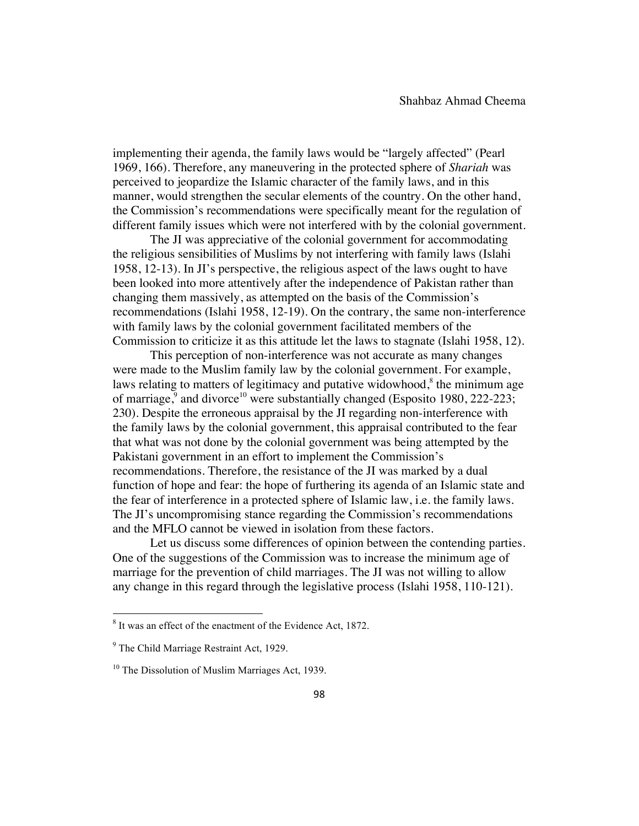implementing their agenda, the family laws would be "largely affected" (Pearl 1969, 166). Therefore, any maneuvering in the protected sphere of *Shariah* was perceived to jeopardize the Islamic character of the family laws, and in this manner, would strengthen the secular elements of the country. On the other hand, the Commission's recommendations were specifically meant for the regulation of different family issues which were not interfered with by the colonial government.

The JI was appreciative of the colonial government for accommodating the religious sensibilities of Muslims by not interfering with family laws (Islahi 1958, 12-13). In JI's perspective, the religious aspect of the laws ought to have been looked into more attentively after the independence of Pakistan rather than changing them massively, as attempted on the basis of the Commission's recommendations (Islahi 1958, 12-19). On the contrary, the same non-interference with family laws by the colonial government facilitated members of the Commission to criticize it as this attitude let the laws to stagnate (Islahi 1958, 12).

This perception of non-interference was not accurate as many changes were made to the Muslim family law by the colonial government. For example, laws relating to matters of legitimacy and putative widowhood, $\delta$  the minimum age of marriage,<sup>9</sup> and divorce<sup>10</sup> were substantially changed (Esposito 1980, 222-223; 230). Despite the erroneous appraisal by the JI regarding non-interference with the family laws by the colonial government, this appraisal contributed to the fear that what was not done by the colonial government was being attempted by the Pakistani government in an effort to implement the Commission's recommendations. Therefore, the resistance of the JI was marked by a dual function of hope and fear: the hope of furthering its agenda of an Islamic state and the fear of interference in a protected sphere of Islamic law, i.e. the family laws. The JI's uncompromising stance regarding the Commission's recommendations and the MFLO cannot be viewed in isolation from these factors.

Let us discuss some differences of opinion between the contending parties. One of the suggestions of the Commission was to increase the minimum age of marriage for the prevention of child marriages. The JI was not willing to allow any change in this regard through the legislative process (Islahi 1958, 110-121).

<sup>8</sup> It was an effect of the enactment of the Evidence Act, 1872.

<sup>&</sup>lt;sup>9</sup> The Child Marriage Restraint Act, 1929.

<sup>&</sup>lt;sup>10</sup> The Dissolution of Muslim Marriages Act, 1939.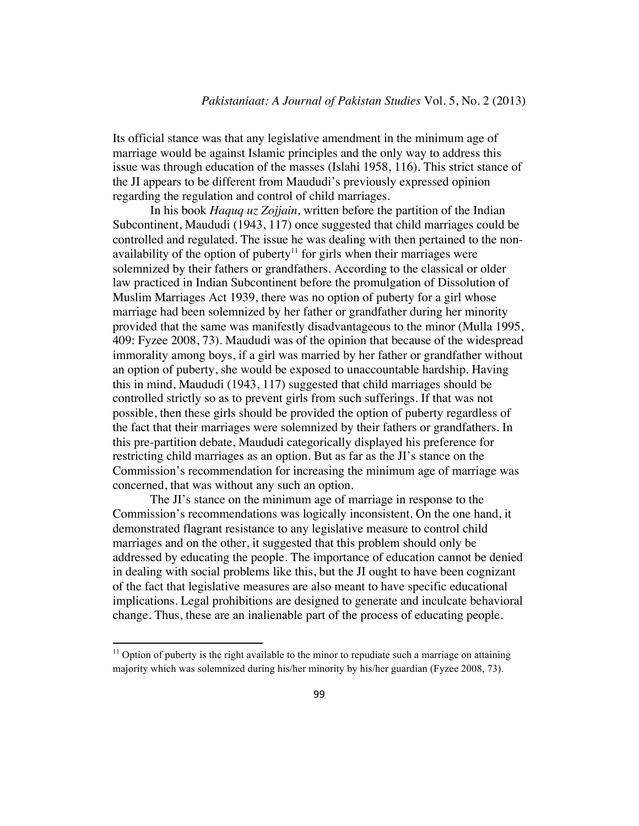Its official stance was that any legislative amendment in the minimum age of marriage would be against Islamic principles and the only way to address this issue was through education of the masses (Islahi 1958, 116). This strict stance of the JI appears to be different from Maududi's previously expressed opinion regarding the regulation and control of child marriages.

In his book *Haquq uz Zojjain,* written before the partition of the Indian Subcontinent, Maududi (1943, 117) once suggested that child marriages could be controlled and regulated. The issue he was dealing with then pertained to the nonavailability of the option of puberty<sup>11</sup> for girls when their marriages were solemnized by their fathers or grandfathers. According to the classical or older law practiced in Indian Subcontinent before the promulgation of Dissolution of Muslim Marriages Act 1939, there was no option of puberty for a girl whose marriage had been solemnized by her father or grandfather during her minority provided that the same was manifestly disadvantageous to the minor (Mulla 1995, 409: Fyzee 2008, 73). Maududi was of the opinion that because of the widespread immorality among boys, if a girl was married by her father or grandfather without an option of puberty, she would be exposed to unaccountable hardship. Having this in mind, Maududi (1943, 117) suggested that child marriages should be controlled strictly so as to prevent girls from such sufferings. If that was not possible, then these girls should be provided the option of puberty regardless of the fact that their marriages were solemnized by their fathers or grandfathers. In this pre-partition debate, Maududi categorically displayed his preference for restricting child marriages as an option. But as far as the JI's stance on the Commission's recommendation for increasing the minimum age of marriage was concerned, that was without any such an option.

The JI's stance on the minimum age of marriage in response to the Commission's recommendations was logically inconsistent. On the one hand, it demonstrated flagrant resistance to any legislative measure to control child marriages and on the other, it suggested that this problem should only be addressed by educating the people. The importance of education cannot be denied in dealing with social problems like this, but the JI ought to have been cognizant of the fact that legislative measures are also meant to have specific educational implications. Legal prohibitions are designed to generate and inculcate behavioral change. Thus, these are an inalienable part of the process of educating people.

 $11$  Option of puberty is the right available to the minor to repudiate such a marriage on attaining majority which was solemnized during his/her minority by his/her guardian (Fyzee 2008, 73).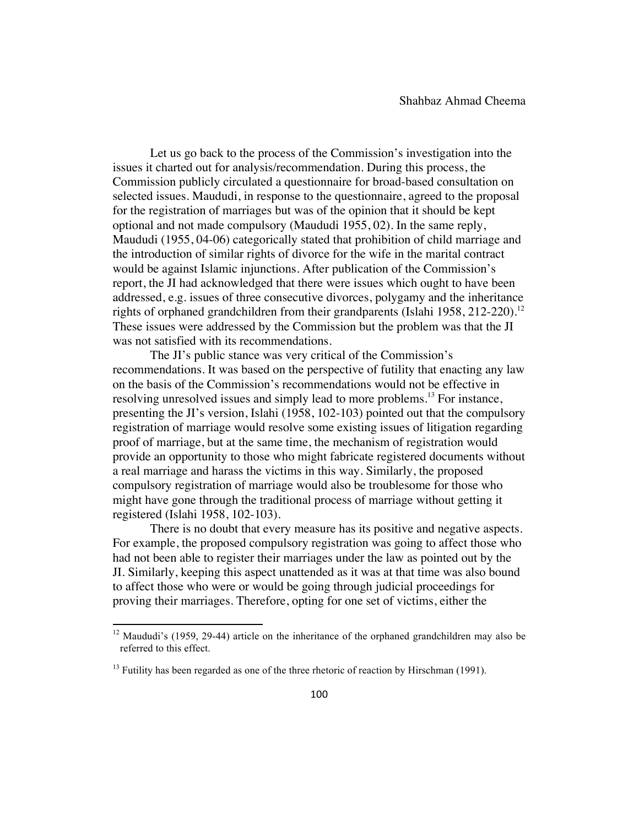Let us go back to the process of the Commission's investigation into the issues it charted out for analysis/recommendation. During this process, the Commission publicly circulated a questionnaire for broad-based consultation on selected issues. Maududi, in response to the questionnaire, agreed to the proposal for the registration of marriages but was of the opinion that it should be kept optional and not made compulsory (Maududi 1955, 02). In the same reply, Maududi (1955, 04-06) categorically stated that prohibition of child marriage and the introduction of similar rights of divorce for the wife in the marital contract would be against Islamic injunctions. After publication of the Commission's report, the JI had acknowledged that there were issues which ought to have been addressed, e.g. issues of three consecutive divorces, polygamy and the inheritance rights of orphaned grandchildren from their grandparents (Islahi 1958, 212-220).<sup>12</sup> These issues were addressed by the Commission but the problem was that the JI was not satisfied with its recommendations.

The JI's public stance was very critical of the Commission's recommendations. It was based on the perspective of futility that enacting any law on the basis of the Commission's recommendations would not be effective in resolving unresolved issues and simply lead to more problems.<sup>13</sup> For instance, presenting the JI's version, Islahi (1958, 102-103) pointed out that the compulsory registration of marriage would resolve some existing issues of litigation regarding proof of marriage, but at the same time, the mechanism of registration would provide an opportunity to those who might fabricate registered documents without a real marriage and harass the victims in this way. Similarly, the proposed compulsory registration of marriage would also be troublesome for those who might have gone through the traditional process of marriage without getting it registered (Islahi 1958, 102-103).

There is no doubt that every measure has its positive and negative aspects. For example, the proposed compulsory registration was going to affect those who had not been able to register their marriages under the law as pointed out by the JI. Similarly, keeping this aspect unattended as it was at that time was also bound to affect those who were or would be going through judicial proceedings for proving their marriages. Therefore, opting for one set of victims, either the

 $12$  Maududi's (1959, 29-44) article on the inheritance of the orphaned grandchildren may also be referred to this effect.

 $^{13}$  Futility has been regarded as one of the three rhetoric of reaction by Hirschman (1991).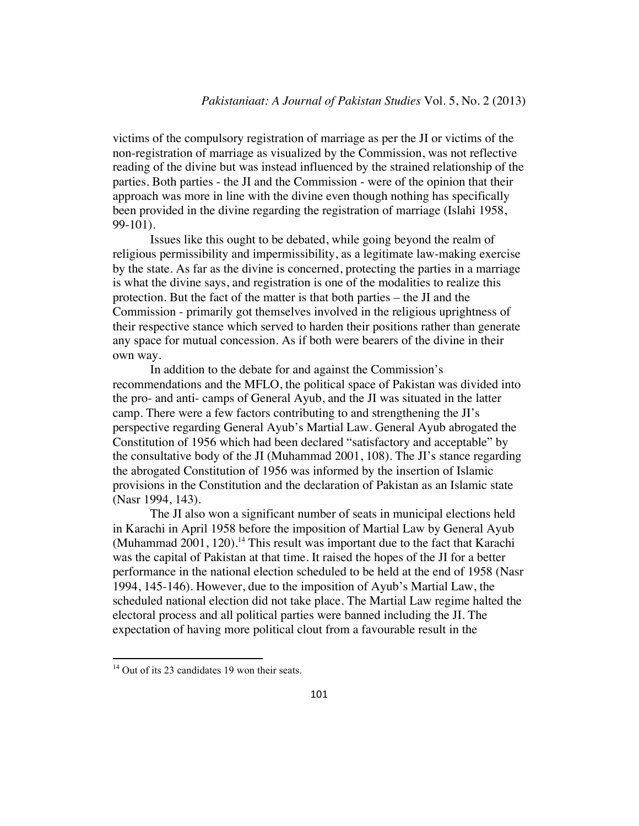victims of the compulsory registration of marriage as per the JI or victims of the non-registration of marriage as visualized by the Commission, was not reflective reading of the divine but was instead influenced by the strained relationship of the parties. Both parties - the JI and the Commission - were of the opinion that their approach was more in line with the divine even though nothing has specifically been provided in the divine regarding the registration of marriage (Islahi 1958, 99-101).

Issues like this ought to be debated, while going beyond the realm of religious permissibility and impermissibility, as a legitimate law-making exercise by the state. As far as the divine is concerned, protecting the parties in a marriage is what the divine says, and registration is one of the modalities to realize this protection. But the fact of the matter is that both parties – the JI and the Commission - primarily got themselves involved in the religious uprightness of their respective stance which served to harden their positions rather than generate any space for mutual concession. As if both were bearers of the divine in their own way.

In addition to the debate for and against the Commission's recommendations and the MFLO, the political space of Pakistan was divided into the pro- and anti- camps of General Ayub, and the JI was situated in the latter camp. There were a few factors contributing to and strengthening the JI's perspective regarding General Ayub's Martial Law. General Ayub abrogated the Constitution of 1956 which had been declared "satisfactory and acceptable" by the consultative body of the JI (Muhammad 2001, 108). The JI's stance regarding the abrogated Constitution of 1956 was informed by the insertion of Islamic provisions in the Constitution and the declaration of Pakistan as an Islamic state (Nasr 1994, 143).

The JI also won a significant number of seats in municipal elections held in Karachi in April 1958 before the imposition of Martial Law by General Ayub (Muhammad  $2001$ ,  $120$ ).<sup>14</sup> This result was important due to the fact that Karachi was the capital of Pakistan at that time. It raised the hopes of the JI for a better performance in the national election scheduled to be held at the end of 1958 (Nasr 1994, 145-146). However, due to the imposition of Ayub's Martial Law, the scheduled national election did not take place. The Martial Law regime halted the electoral process and all political parties were banned including the JI. The expectation of having more political clout from a favourable result in the

 $14$  Out of its 23 candidates 19 won their seats.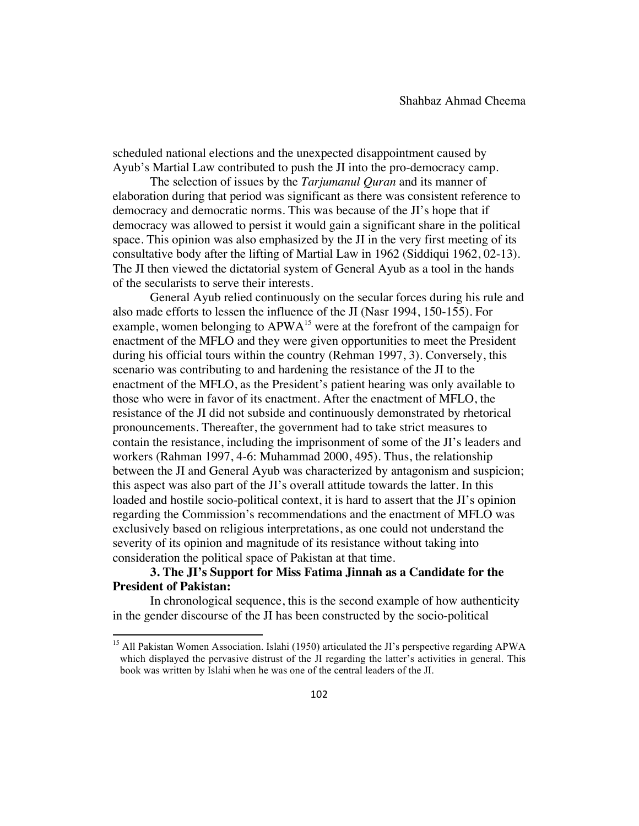scheduled national elections and the unexpected disappointment caused by Ayub's Martial Law contributed to push the JI into the pro-democracy camp.

The selection of issues by the *Tarjumanul Quran* and its manner of elaboration during that period was significant as there was consistent reference to democracy and democratic norms. This was because of the JI's hope that if democracy was allowed to persist it would gain a significant share in the political space. This opinion was also emphasized by the JI in the very first meeting of its consultative body after the lifting of Martial Law in 1962 (Siddiqui 1962, 02-13). The JI then viewed the dictatorial system of General Ayub as a tool in the hands of the secularists to serve their interests.

General Ayub relied continuously on the secular forces during his rule and also made efforts to lessen the influence of the JI (Nasr 1994, 150-155). For example, women belonging to  $APWA<sup>15</sup>$  were at the forefront of the campaign for enactment of the MFLO and they were given opportunities to meet the President during his official tours within the country (Rehman 1997, 3). Conversely, this scenario was contributing to and hardening the resistance of the JI to the enactment of the MFLO, as the President's patient hearing was only available to those who were in favor of its enactment. After the enactment of MFLO, the resistance of the JI did not subside and continuously demonstrated by rhetorical pronouncements. Thereafter, the government had to take strict measures to contain the resistance, including the imprisonment of some of the JI's leaders and workers (Rahman 1997, 4-6: Muhammad 2000, 495). Thus, the relationship between the JI and General Ayub was characterized by antagonism and suspicion; this aspect was also part of the JI's overall attitude towards the latter. In this loaded and hostile socio-political context, it is hard to assert that the JI's opinion regarding the Commission's recommendations and the enactment of MFLO was exclusively based on religious interpretations, as one could not understand the severity of its opinion and magnitude of its resistance without taking into consideration the political space of Pakistan at that time.

## **3. The JI's Support for Miss Fatima Jinnah as a Candidate for the President of Pakistan:**

!!!!!!!!!!!!!!!!!!!!!!!!!!!!!!!!!!!!!!!!!!!!!!!!!!!!!!!!!!!!

In chronological sequence, this is the second example of how authenticity in the gender discourse of the JI has been constructed by the socio-political

<sup>&</sup>lt;sup>15</sup> All Pakistan Women Association. Islahi (1950) articulated the JI's perspective regarding APWA which displayed the pervasive distrust of the JI regarding the latter's activities in general. This book was written by Islahi when he was one of the central leaders of the JI.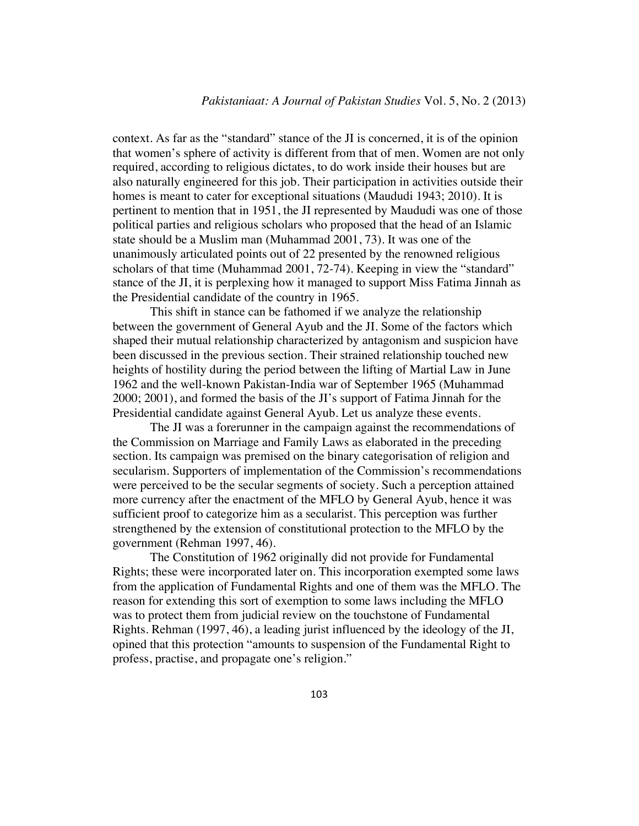context. As far as the "standard" stance of the JI is concerned, it is of the opinion that women's sphere of activity is different from that of men. Women are not only required, according to religious dictates, to do work inside their houses but are also naturally engineered for this job. Their participation in activities outside their homes is meant to cater for exceptional situations (Maududi 1943; 2010). It is pertinent to mention that in 1951, the JI represented by Maududi was one of those political parties and religious scholars who proposed that the head of an Islamic state should be a Muslim man (Muhammad 2001, 73). It was one of the unanimously articulated points out of 22 presented by the renowned religious scholars of that time (Muhammad 2001, 72-74). Keeping in view the "standard" stance of the JI, it is perplexing how it managed to support Miss Fatima Jinnah as the Presidential candidate of the country in 1965.

This shift in stance can be fathomed if we analyze the relationship between the government of General Ayub and the JI. Some of the factors which shaped their mutual relationship characterized by antagonism and suspicion have been discussed in the previous section. Their strained relationship touched new heights of hostility during the period between the lifting of Martial Law in June 1962 and the well-known Pakistan-India war of September 1965 (Muhammad 2000; 2001), and formed the basis of the JI's support of Fatima Jinnah for the Presidential candidate against General Ayub. Let us analyze these events.

The JI was a forerunner in the campaign against the recommendations of the Commission on Marriage and Family Laws as elaborated in the preceding section. Its campaign was premised on the binary categorisation of religion and secularism. Supporters of implementation of the Commission's recommendations were perceived to be the secular segments of society. Such a perception attained more currency after the enactment of the MFLO by General Ayub, hence it was sufficient proof to categorize him as a secularist. This perception was further strengthened by the extension of constitutional protection to the MFLO by the government (Rehman 1997, 46).

The Constitution of 1962 originally did not provide for Fundamental Rights; these were incorporated later on. This incorporation exempted some laws from the application of Fundamental Rights and one of them was the MFLO. The reason for extending this sort of exemption to some laws including the MFLO was to protect them from judicial review on the touchstone of Fundamental Rights. Rehman (1997, 46), a leading jurist influenced by the ideology of the JI, opined that this protection "amounts to suspension of the Fundamental Right to profess, practise, and propagate one's religion."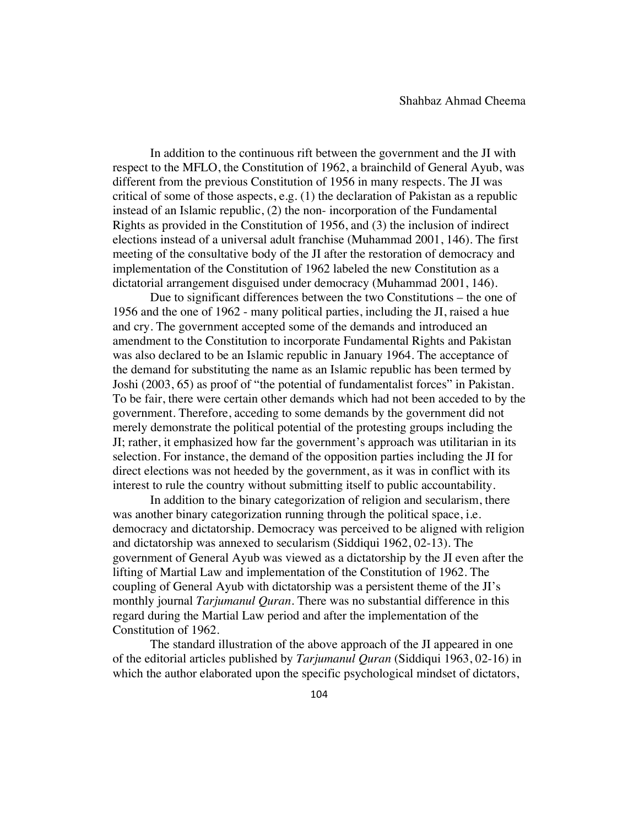In addition to the continuous rift between the government and the JI with respect to the MFLO, the Constitution of 1962, a brainchild of General Ayub, was different from the previous Constitution of 1956 in many respects. The JI was critical of some of those aspects, e.g. (1) the declaration of Pakistan as a republic instead of an Islamic republic, (2) the non- incorporation of the Fundamental Rights as provided in the Constitution of 1956, and (3) the inclusion of indirect elections instead of a universal adult franchise (Muhammad 2001, 146). The first meeting of the consultative body of the JI after the restoration of democracy and implementation of the Constitution of 1962 labeled the new Constitution as a dictatorial arrangement disguised under democracy (Muhammad 2001, 146).

Due to significant differences between the two Constitutions – the one of 1956 and the one of 1962 - many political parties, including the JI, raised a hue and cry. The government accepted some of the demands and introduced an amendment to the Constitution to incorporate Fundamental Rights and Pakistan was also declared to be an Islamic republic in January 1964. The acceptance of the demand for substituting the name as an Islamic republic has been termed by Joshi (2003, 65) as proof of "the potential of fundamentalist forces" in Pakistan. To be fair, there were certain other demands which had not been acceded to by the government. Therefore, acceding to some demands by the government did not merely demonstrate the political potential of the protesting groups including the JI; rather, it emphasized how far the government's approach was utilitarian in its selection. For instance, the demand of the opposition parties including the JI for direct elections was not heeded by the government, as it was in conflict with its interest to rule the country without submitting itself to public accountability.

In addition to the binary categorization of religion and secularism, there was another binary categorization running through the political space, i.e. democracy and dictatorship. Democracy was perceived to be aligned with religion and dictatorship was annexed to secularism (Siddiqui 1962, 02-13). The government of General Ayub was viewed as a dictatorship by the JI even after the lifting of Martial Law and implementation of the Constitution of 1962. The coupling of General Ayub with dictatorship was a persistent theme of the JI's monthly journal *Tarjumanul Quran*. There was no substantial difference in this regard during the Martial Law period and after the implementation of the Constitution of 1962.

The standard illustration of the above approach of the JI appeared in one of the editorial articles published by *Tarjumanul Quran* (Siddiqui 1963, 02-16) in which the author elaborated upon the specific psychological mindset of dictators,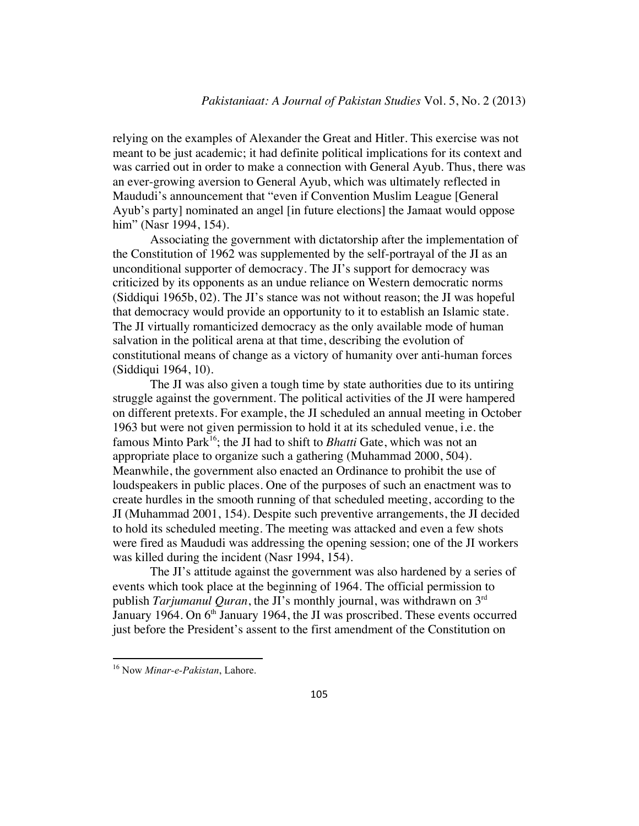relying on the examples of Alexander the Great and Hitler. This exercise was not meant to be just academic; it had definite political implications for its context and was carried out in order to make a connection with General Ayub. Thus, there was an ever-growing aversion to General Ayub, which was ultimately reflected in Maududi's announcement that "even if Convention Muslim League [General Ayub's party] nominated an angel [in future elections] the Jamaat would oppose him" (Nasr 1994, 154).

Associating the government with dictatorship after the implementation of the Constitution of 1962 was supplemented by the self-portrayal of the JI as an unconditional supporter of democracy. The JI's support for democracy was criticized by its opponents as an undue reliance on Western democratic norms (Siddiqui 1965b, 02). The JI's stance was not without reason; the JI was hopeful that democracy would provide an opportunity to it to establish an Islamic state. The JI virtually romanticized democracy as the only available mode of human salvation in the political arena at that time, describing the evolution of constitutional means of change as a victory of humanity over anti-human forces (Siddiqui 1964, 10).

The JI was also given a tough time by state authorities due to its untiring struggle against the government. The political activities of the JI were hampered on different pretexts. For example, the JI scheduled an annual meeting in October 1963 but were not given permission to hold it at its scheduled venue, i.e. the famous Minto Park<sup>16</sup>; the JI had to shift to *Bhatti* Gate, which was not an appropriate place to organize such a gathering (Muhammad 2000, 504). Meanwhile, the government also enacted an Ordinance to prohibit the use of loudspeakers in public places. One of the purposes of such an enactment was to create hurdles in the smooth running of that scheduled meeting, according to the JI (Muhammad 2001, 154). Despite such preventive arrangements, the JI decided to hold its scheduled meeting. The meeting was attacked and even a few shots were fired as Maududi was addressing the opening session; one of the JI workers was killed during the incident (Nasr 1994, 154).

The JI's attitude against the government was also hardened by a series of events which took place at the beginning of 1964. The official permission to publish *Tarjumanul Quran*, the JI's monthly journal, was withdrawn on 3rd January 1964. On  $6<sup>th</sup>$  January 1964, the JI was proscribed. These events occurred just before the President's assent to the first amendment of the Constitution on

<sup>!!!!!!!!!!!!!!!!!!!!!!!!!!!!!!!!!!!!!!!!!!!!!!!!!!!!!!!!!!!!</sup> <sup>16</sup> Now *Minar-e-Pakistan*, Lahore.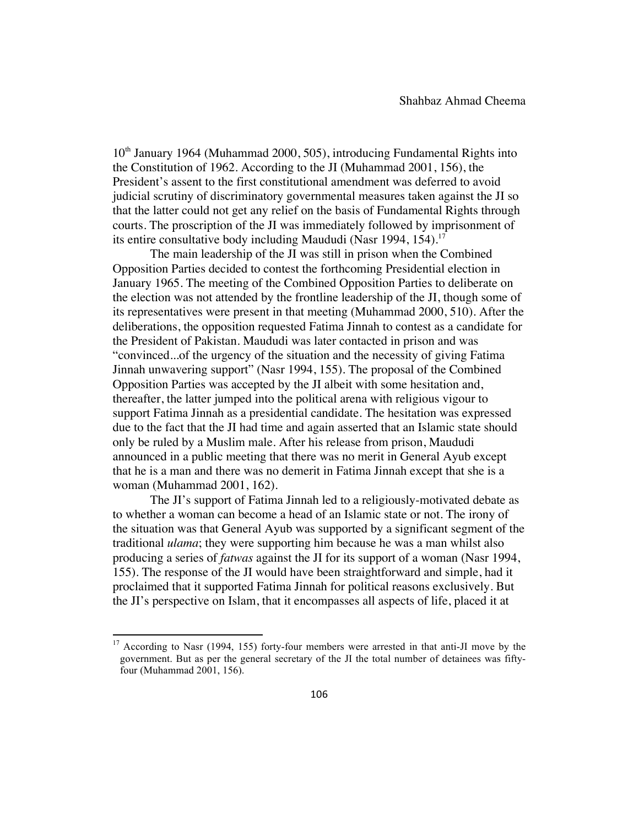$10<sup>th</sup>$  January 1964 (Muhammad 2000, 505), introducing Fundamental Rights into the Constitution of 1962. According to the JI (Muhammad 2001, 156), the President's assent to the first constitutional amendment was deferred to avoid judicial scrutiny of discriminatory governmental measures taken against the JI so that the latter could not get any relief on the basis of Fundamental Rights through courts. The proscription of the JI was immediately followed by imprisonment of its entire consultative body including Maududi (Nasr 1994, 154).<sup>17</sup>

The main leadership of the JI was still in prison when the Combined Opposition Parties decided to contest the forthcoming Presidential election in January 1965. The meeting of the Combined Opposition Parties to deliberate on the election was not attended by the frontline leadership of the JI, though some of its representatives were present in that meeting (Muhammad 2000, 510). After the deliberations, the opposition requested Fatima Jinnah to contest as a candidate for the President of Pakistan. Maududi was later contacted in prison and was "convinced...of the urgency of the situation and the necessity of giving Fatima Jinnah unwavering support" (Nasr 1994, 155). The proposal of the Combined Opposition Parties was accepted by the JI albeit with some hesitation and, thereafter, the latter jumped into the political arena with religious vigour to support Fatima Jinnah as a presidential candidate. The hesitation was expressed due to the fact that the JI had time and again asserted that an Islamic state should only be ruled by a Muslim male. After his release from prison, Maududi announced in a public meeting that there was no merit in General Ayub except that he is a man and there was no demerit in Fatima Jinnah except that she is a woman (Muhammad 2001, 162).

The JI's support of Fatima Jinnah led to a religiously-motivated debate as to whether a woman can become a head of an Islamic state or not. The irony of the situation was that General Ayub was supported by a significant segment of the traditional *ulama*; they were supporting him because he was a man whilst also producing a series of *fatwas* against the JI for its support of a woman (Nasr 1994, 155). The response of the JI would have been straightforward and simple, had it proclaimed that it supported Fatima Jinnah for political reasons exclusively. But the JI's perspective on Islam, that it encompasses all aspects of life, placed it at

 $17$  According to Nasr (1994, 155) forty-four members were arrested in that anti-JI move by the government. But as per the general secretary of the JI the total number of detainees was fiftyfour (Muhammad 2001, 156).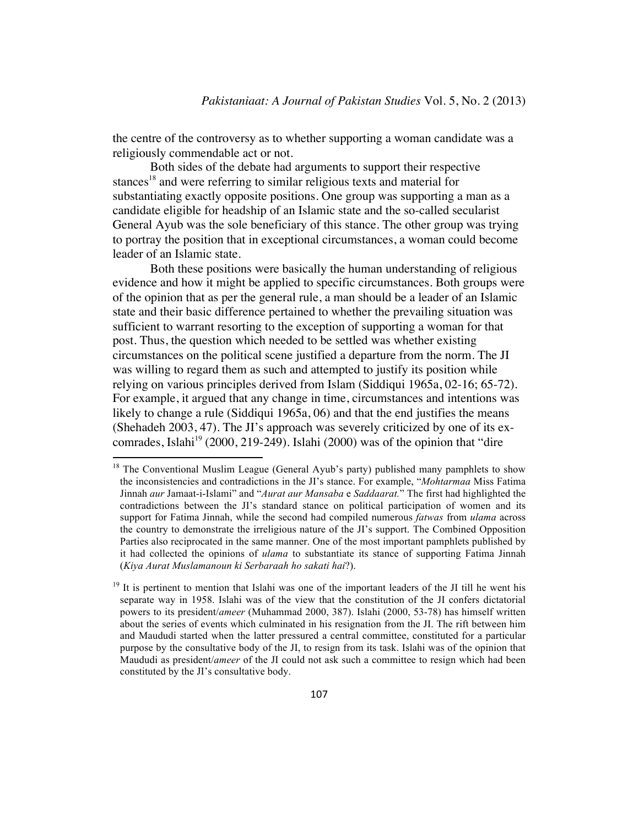the centre of the controversy as to whether supporting a woman candidate was a religiously commendable act or not.

Both sides of the debate had arguments to support their respective stances<sup>18</sup> and were referring to similar religious texts and material for substantiating exactly opposite positions. One group was supporting a man as a candidate eligible for headship of an Islamic state and the so-called secularist General Ayub was the sole beneficiary of this stance. The other group was trying to portray the position that in exceptional circumstances, a woman could become leader of an Islamic state.

Both these positions were basically the human understanding of religious evidence and how it might be applied to specific circumstances. Both groups were of the opinion that as per the general rule, a man should be a leader of an Islamic state and their basic difference pertained to whether the prevailing situation was sufficient to warrant resorting to the exception of supporting a woman for that post. Thus, the question which needed to be settled was whether existing circumstances on the political scene justified a departure from the norm. The JI was willing to regard them as such and attempted to justify its position while relying on various principles derived from Islam (Siddiqui 1965a, 02-16; 65-72). For example, it argued that any change in time, circumstances and intentions was likely to change a rule (Siddiqui 1965a, 06) and that the end justifies the means (Shehadeh 2003, 47). The JI's approach was severely criticized by one of its excomrades, Islahi<sup>19</sup> (2000, 219-249). Islahi (2000) was of the opinion that "dire

 $18$  The Conventional Muslim League (General Ayub's party) published many pamphlets to show the inconsistencies and contradictions in the JI's stance. For example, "*Mohtarmaa* Miss Fatima Jinnah *aur* Jamaat-i-Islami" and "*Aurat aur Mansaba* e *Saddaarat.*" The first had highlighted the contradictions between the JI's standard stance on political participation of women and its support for Fatima Jinnah, while the second had compiled numerous *fatwas* from *ulama* across the country to demonstrate the irreligious nature of the JI's support. The Combined Opposition Parties also reciprocated in the same manner. One of the most important pamphlets published by it had collected the opinions of *ulama* to substantiate its stance of supporting Fatima Jinnah (*Kiya Aurat Muslamanoun ki Serbaraah ho sakati hai*?).

 $19$  It is pertinent to mention that Islahi was one of the important leaders of the JI till he went his separate way in 1958. Islahi was of the view that the constitution of the JI confers dictatorial powers to its president/*ameer* (Muhammad 2000, 387). Islahi (2000, 53-78) has himself written about the series of events which culminated in his resignation from the JI. The rift between him and Maududi started when the latter pressured a central committee, constituted for a particular purpose by the consultative body of the JI, to resign from its task. Islahi was of the opinion that Maududi as president/*ameer* of the JI could not ask such a committee to resign which had been constituted by the JI's consultative body.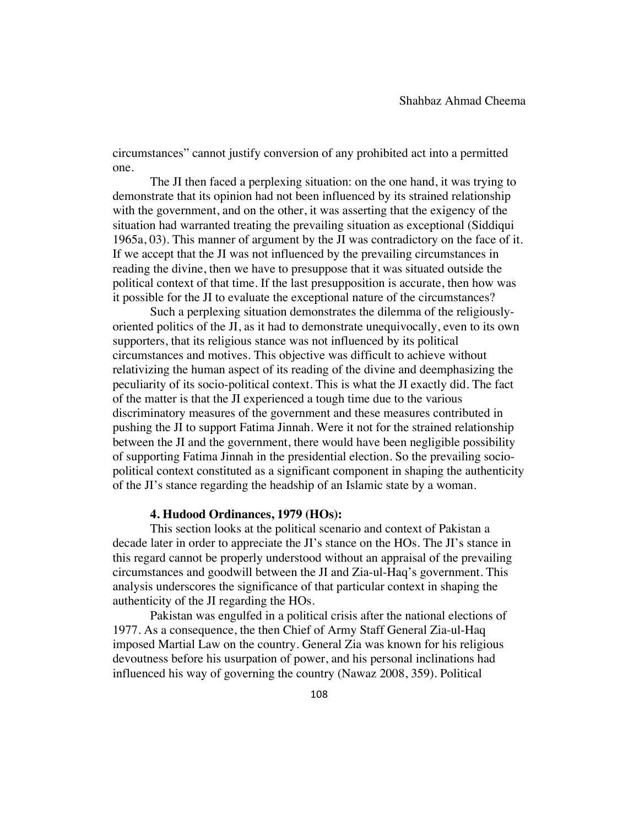circumstances" cannot justify conversion of any prohibited act into a permitted one.

The JI then faced a perplexing situation: on the one hand, it was trying to demonstrate that its opinion had not been influenced by its strained relationship with the government, and on the other, it was asserting that the exigency of the situation had warranted treating the prevailing situation as exceptional (Siddiqui 1965a, 03). This manner of argument by the JI was contradictory on the face of it. If we accept that the JI was not influenced by the prevailing circumstances in reading the divine, then we have to presuppose that it was situated outside the political context of that time. If the last presupposition is accurate, then how was it possible for the JI to evaluate the exceptional nature of the circumstances?

Such a perplexing situation demonstrates the dilemma of the religiouslyoriented politics of the JI, as it had to demonstrate unequivocally, even to its own supporters, that its religious stance was not influenced by its political circumstances and motives. This objective was difficult to achieve without relativizing the human aspect of its reading of the divine and deemphasizing the peculiarity of its socio-political context. This is what the JI exactly did. The fact of the matter is that the JI experienced a tough time due to the various discriminatory measures of the government and these measures contributed in pushing the JI to support Fatima Jinnah. Were it not for the strained relationship between the JI and the government, there would have been negligible possibility of supporting Fatima Jinnah in the presidential election. So the prevailing sociopolitical context constituted as a significant component in shaping the authenticity of the JI's stance regarding the headship of an Islamic state by a woman.

#### **4. Hudood Ordinances, 1979 (HOs):**

This section looks at the political scenario and context of Pakistan a decade later in order to appreciate the JI's stance on the HOs. The JI's stance in this regard cannot be properly understood without an appraisal of the prevailing circumstances and goodwill between the JI and Zia-ul-Haq's government. This analysis underscores the significance of that particular context in shaping the authenticity of the JI regarding the HOs.

Pakistan was engulfed in a political crisis after the national elections of 1977. As a consequence, the then Chief of Army Staff General Zia-ul-Haq imposed Martial Law on the country. General Zia was known for his religious devoutness before his usurpation of power, and his personal inclinations had influenced his way of governing the country (Nawaz 2008, 359). Political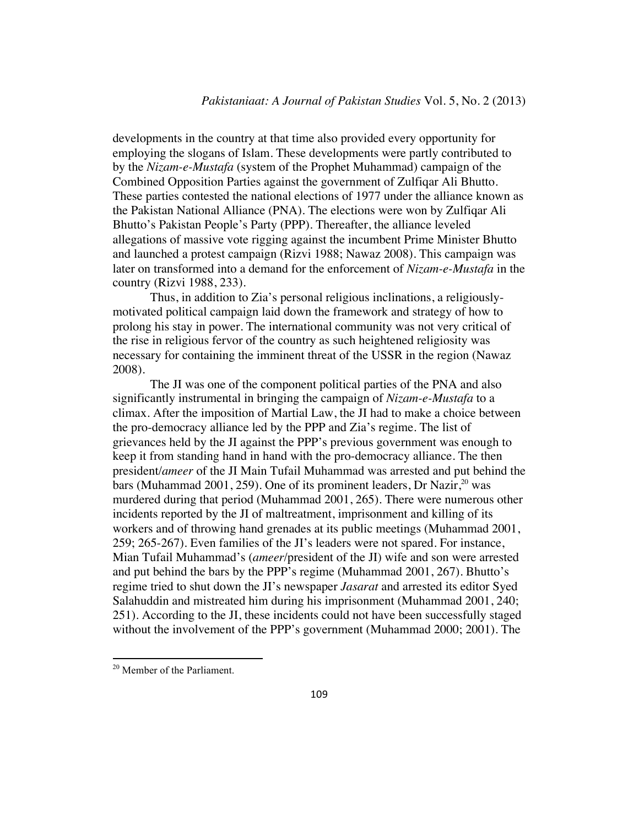developments in the country at that time also provided every opportunity for employing the slogans of Islam. These developments were partly contributed to by the *Nizam-e-Mustafa* (system of the Prophet Muhammad) campaign of the Combined Opposition Parties against the government of Zulfiqar Ali Bhutto. These parties contested the national elections of 1977 under the alliance known as the Pakistan National Alliance (PNA). The elections were won by Zulfiqar Ali Bhutto's Pakistan People's Party (PPP). Thereafter, the alliance leveled allegations of massive vote rigging against the incumbent Prime Minister Bhutto and launched a protest campaign (Rizvi 1988; Nawaz 2008). This campaign was later on transformed into a demand for the enforcement of *Nizam-e-Mustafa* in the country (Rizvi 1988, 233).

Thus, in addition to Zia's personal religious inclinations, a religiouslymotivated political campaign laid down the framework and strategy of how to prolong his stay in power. The international community was not very critical of the rise in religious fervor of the country as such heightened religiosity was necessary for containing the imminent threat of the USSR in the region (Nawaz 2008).

The JI was one of the component political parties of the PNA and also significantly instrumental in bringing the campaign of *Nizam-e-Mustafa* to a climax. After the imposition of Martial Law, the JI had to make a choice between the pro-democracy alliance led by the PPP and Zia's regime. The list of grievances held by the JI against the PPP's previous government was enough to keep it from standing hand in hand with the pro-democracy alliance. The then president/*ameer* of the JI Main Tufail Muhammad was arrested and put behind the bars (Muhammad 2001, 259). One of its prominent leaders, Dr Nazir,  $^{20}$  was murdered during that period (Muhammad 2001, 265). There were numerous other incidents reported by the JI of maltreatment, imprisonment and killing of its workers and of throwing hand grenades at its public meetings (Muhammad 2001, 259; 265-267). Even families of the JI's leaders were not spared. For instance, Mian Tufail Muhammad's (*ameer*/president of the JI) wife and son were arrested and put behind the bars by the PPP's regime (Muhammad 2001, 267). Bhutto's regime tried to shut down the JI's newspaper *Jasarat* and arrested its editor Syed Salahuddin and mistreated him during his imprisonment (Muhammad 2001, 240; 251). According to the JI, these incidents could not have been successfully staged without the involvement of the PPP's government (Muhammad 2000; 2001). The

<sup>20</sup> Member of the Parliament.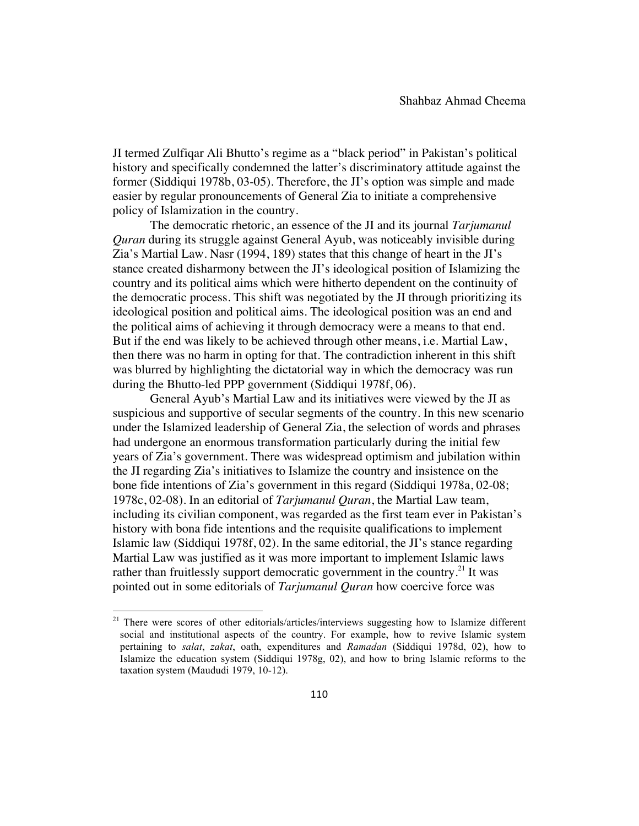JI termed Zulfiqar Ali Bhutto's regime as a "black period" in Pakistan's political history and specifically condemned the latter's discriminatory attitude against the former (Siddiqui 1978b, 03-05). Therefore, the JI's option was simple and made easier by regular pronouncements of General Zia to initiate a comprehensive policy of Islamization in the country.

The democratic rhetoric, an essence of the JI and its journal *Tarjumanul Quran* during its struggle against General Ayub, was noticeably invisible during Zia's Martial Law. Nasr (1994, 189) states that this change of heart in the JI's stance created disharmony between the JI's ideological position of Islamizing the country and its political aims which were hitherto dependent on the continuity of the democratic process. This shift was negotiated by the JI through prioritizing its ideological position and political aims. The ideological position was an end and the political aims of achieving it through democracy were a means to that end. But if the end was likely to be achieved through other means, i.e. Martial Law, then there was no harm in opting for that. The contradiction inherent in this shift was blurred by highlighting the dictatorial way in which the democracy was run during the Bhutto-led PPP government (Siddiqui 1978f, 06).

General Ayub's Martial Law and its initiatives were viewed by the JI as suspicious and supportive of secular segments of the country. In this new scenario under the Islamized leadership of General Zia, the selection of words and phrases had undergone an enormous transformation particularly during the initial few years of Zia's government. There was widespread optimism and jubilation within the JI regarding Zia's initiatives to Islamize the country and insistence on the bone fide intentions of Zia's government in this regard (Siddiqui 1978a, 02-08; 1978c, 02-08). In an editorial of *Tarjumanul Quran*, the Martial Law team, including its civilian component, was regarded as the first team ever in Pakistan's history with bona fide intentions and the requisite qualifications to implement Islamic law (Siddiqui 1978f, 02). In the same editorial, the JI's stance regarding Martial Law was justified as it was more important to implement Islamic laws rather than fruitlessly support democratic government in the country.<sup>21</sup> It was pointed out in some editorials of *Tarjumanul Quran* how coercive force was

 $21$  There were scores of other editorials/articles/interviews suggesting how to Islamize different social and institutional aspects of the country. For example, how to revive Islamic system pertaining to *salat*, *zakat*, oath, expenditures and *Ramadan* (Siddiqui 1978d, 02), how to Islamize the education system (Siddiqui 1978g, 02), and how to bring Islamic reforms to the taxation system (Maududi 1979, 10-12).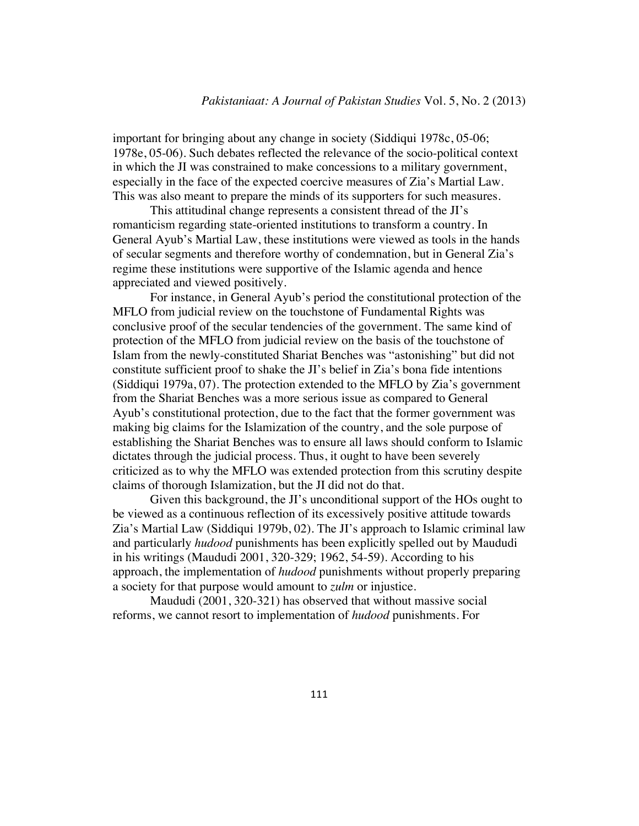important for bringing about any change in society (Siddiqui 1978c, 05-06; 1978e, 05-06). Such debates reflected the relevance of the socio-political context in which the JI was constrained to make concessions to a military government, especially in the face of the expected coercive measures of Zia's Martial Law. This was also meant to prepare the minds of its supporters for such measures.

This attitudinal change represents a consistent thread of the JI's romanticism regarding state-oriented institutions to transform a country. In General Ayub's Martial Law, these institutions were viewed as tools in the hands of secular segments and therefore worthy of condemnation, but in General Zia's regime these institutions were supportive of the Islamic agenda and hence appreciated and viewed positively.

For instance, in General Ayub's period the constitutional protection of the MFLO from judicial review on the touchstone of Fundamental Rights was conclusive proof of the secular tendencies of the government. The same kind of protection of the MFLO from judicial review on the basis of the touchstone of Islam from the newly-constituted Shariat Benches was "astonishing" but did not constitute sufficient proof to shake the JI's belief in Zia's bona fide intentions (Siddiqui 1979a, 07). The protection extended to the MFLO by Zia's government from the Shariat Benches was a more serious issue as compared to General Ayub's constitutional protection, due to the fact that the former government was making big claims for the Islamization of the country, and the sole purpose of establishing the Shariat Benches was to ensure all laws should conform to Islamic dictates through the judicial process. Thus, it ought to have been severely criticized as to why the MFLO was extended protection from this scrutiny despite claims of thorough Islamization, but the JI did not do that.

Given this background, the JI's unconditional support of the HOs ought to be viewed as a continuous reflection of its excessively positive attitude towards Zia's Martial Law (Siddiqui 1979b, 02). The JI's approach to Islamic criminal law and particularly *hudood* punishments has been explicitly spelled out by Maududi in his writings (Maududi 2001, 320-329; 1962, 54-59). According to his approach, the implementation of *hudood* punishments without properly preparing a society for that purpose would amount to *zulm* or injustice.

Maududi (2001, 320-321) has observed that without massive social reforms, we cannot resort to implementation of *hudood* punishments. For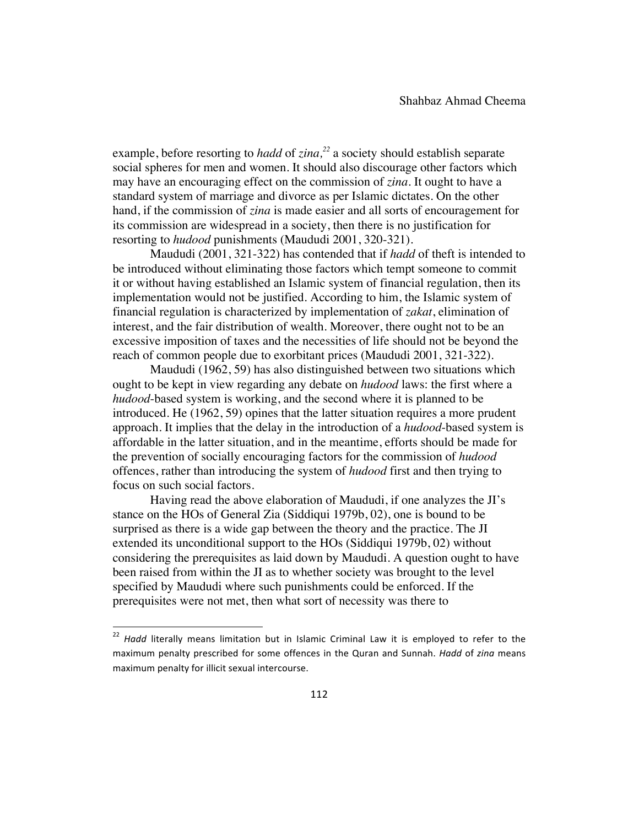example, before resorting to *hadd* of *zina, <sup>22</sup>* a society should establish separate social spheres for men and women. It should also discourage other factors which may have an encouraging effect on the commission of *zina*. It ought to have a standard system of marriage and divorce as per Islamic dictates. On the other hand, if the commission of *zina* is made easier and all sorts of encouragement for its commission are widespread in a society, then there is no justification for resorting to *hudood* punishments (Maududi 2001, 320-321).

Maududi (2001, 321-322) has contended that if *hadd* of theft is intended to be introduced without eliminating those factors which tempt someone to commit it or without having established an Islamic system of financial regulation, then its implementation would not be justified. According to him, the Islamic system of financial regulation is characterized by implementation of *zakat*, elimination of interest, and the fair distribution of wealth. Moreover, there ought not to be an excessive imposition of taxes and the necessities of life should not be beyond the reach of common people due to exorbitant prices (Maududi 2001, 321-322).

Maududi (1962, 59) has also distinguished between two situations which ought to be kept in view regarding any debate on *hudood* laws: the first where a *hudood*-based system is working, and the second where it is planned to be introduced. He (1962, 59) opines that the latter situation requires a more prudent approach. It implies that the delay in the introduction of a *hudood*-based system is affordable in the latter situation, and in the meantime, efforts should be made for the prevention of socially encouraging factors for the commission of *hudood* offences, rather than introducing the system of *hudood* first and then trying to focus on such social factors.

Having read the above elaboration of Maududi, if one analyzes the JI's stance on the HOs of General Zia (Siddiqui 1979b, 02), one is bound to be surprised as there is a wide gap between the theory and the practice. The JI extended its unconditional support to the HOs (Siddiqui 1979b, 02) without considering the prerequisites as laid down by Maududi. A question ought to have been raised from within the JI as to whether society was brought to the level specified by Maududi where such punishments could be enforced. If the prerequisites were not met, then what sort of necessity was there to

<sup>&</sup>lt;sup>22</sup> Hadd literally means limitation but in Islamic Criminal Law it is employed to refer to the maximum penalty prescribed for some offences in the Quran and Sunnah. *Hadd* of *zina* means maximum penalty for illicit sexual intercourse.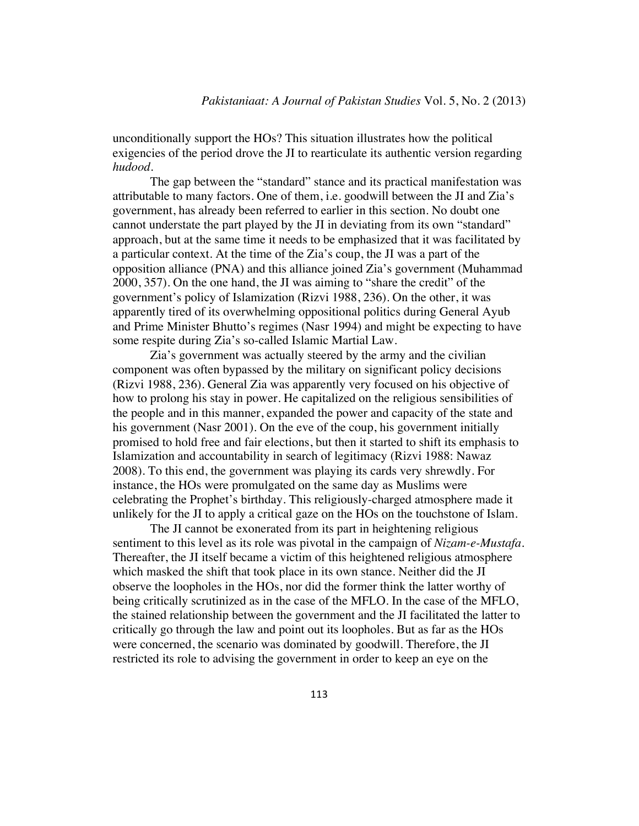unconditionally support the HOs? This situation illustrates how the political exigencies of the period drove the JI to rearticulate its authentic version regarding *hudood*.

The gap between the "standard" stance and its practical manifestation was attributable to many factors. One of them, i.e. goodwill between the JI and Zia's government, has already been referred to earlier in this section. No doubt one cannot understate the part played by the JI in deviating from its own "standard" approach, but at the same time it needs to be emphasized that it was facilitated by a particular context. At the time of the Zia's coup, the JI was a part of the opposition alliance (PNA) and this alliance joined Zia's government (Muhammad 2000, 357). On the one hand, the JI was aiming to "share the credit" of the government's policy of Islamization (Rizvi 1988, 236). On the other, it was apparently tired of its overwhelming oppositional politics during General Ayub and Prime Minister Bhutto's regimes (Nasr 1994) and might be expecting to have some respite during Zia's so-called Islamic Martial Law.

Zia's government was actually steered by the army and the civilian component was often bypassed by the military on significant policy decisions (Rizvi 1988, 236). General Zia was apparently very focused on his objective of how to prolong his stay in power. He capitalized on the religious sensibilities of the people and in this manner, expanded the power and capacity of the state and his government (Nasr 2001). On the eve of the coup, his government initially promised to hold free and fair elections, but then it started to shift its emphasis to Islamization and accountability in search of legitimacy (Rizvi 1988: Nawaz 2008). To this end, the government was playing its cards very shrewdly. For instance, the HOs were promulgated on the same day as Muslims were celebrating the Prophet's birthday. This religiously-charged atmosphere made it unlikely for the JI to apply a critical gaze on the HOs on the touchstone of Islam.

The JI cannot be exonerated from its part in heightening religious sentiment to this level as its role was pivotal in the campaign of *Nizam-e-Mustafa*. Thereafter, the JI itself became a victim of this heightened religious atmosphere which masked the shift that took place in its own stance. Neither did the JI observe the loopholes in the HOs, nor did the former think the latter worthy of being critically scrutinized as in the case of the MFLO. In the case of the MFLO, the stained relationship between the government and the JI facilitated the latter to critically go through the law and point out its loopholes. But as far as the HOs were concerned, the scenario was dominated by goodwill. Therefore, the JI restricted its role to advising the government in order to keep an eye on the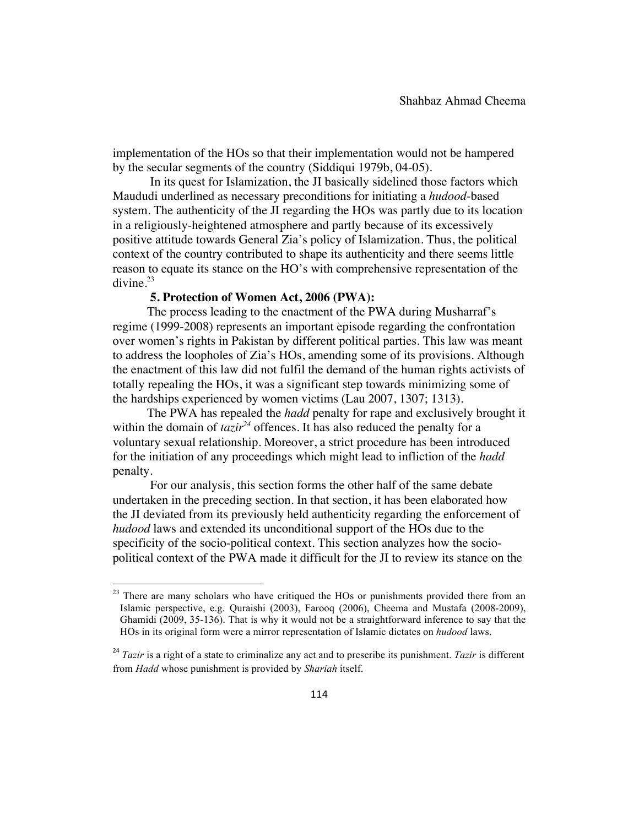implementation of the HOs so that their implementation would not be hampered by the secular segments of the country (Siddiqui 1979b, 04-05).

In its quest for Islamization, the JI basically sidelined those factors which Maududi underlined as necessary preconditions for initiating a *hudood*-based system. The authenticity of the JI regarding the HOs was partly due to its location in a religiously-heightened atmosphere and partly because of its excessively positive attitude towards General Zia's policy of Islamization. Thus, the political context of the country contributed to shape its authenticity and there seems little reason to equate its stance on the HO's with comprehensive representation of the  $divine.<sup>23</sup>$ 

### **5. Protection of Women Act, 2006 (PWA):**

!!!!!!!!!!!!!!!!!!!!!!!!!!!!!!!!!!!!!!!!!!!!!!!!!!!!!!!!!!!!

 The process leading to the enactment of the PWA during Musharraf's regime (1999-2008) represents an important episode regarding the confrontation over women's rights in Pakistan by different political parties. This law was meant to address the loopholes of Zia's HOs, amending some of its provisions. Although the enactment of this law did not fulfil the demand of the human rights activists of totally repealing the HOs, it was a significant step towards minimizing some of the hardships experienced by women victims (Lau 2007, 1307; 1313).

 The PWA has repealed the *hadd* penalty for rape and exclusively brought it within the domain of  $tazir^{24}$  offences. It has also reduced the penalty for a voluntary sexual relationship. Moreover, a strict procedure has been introduced for the initiation of any proceedings which might lead to infliction of the *hadd* penalty.

For our analysis, this section forms the other half of the same debate undertaken in the preceding section. In that section, it has been elaborated how the JI deviated from its previously held authenticity regarding the enforcement of *hudood* laws and extended its unconditional support of the HOs due to the specificity of the socio-political context. This section analyzes how the sociopolitical context of the PWA made it difficult for the JI to review its stance on the

 $2<sup>23</sup>$  There are many scholars who have critiqued the HOs or punishments provided there from an Islamic perspective, e.g. Quraishi (2003), Farooq (2006), Cheema and Mustafa (2008-2009), Ghamidi (2009, 35-136). That is why it would not be a straightforward inference to say that the HOs in its original form were a mirror representation of Islamic dictates on *hudood* laws.

<sup>&</sup>lt;sup>24</sup> *Tazir* is a right of a state to criminalize any act and to prescribe its punishment. *Tazir* is different from *Hadd* whose punishment is provided by *Shariah* itself.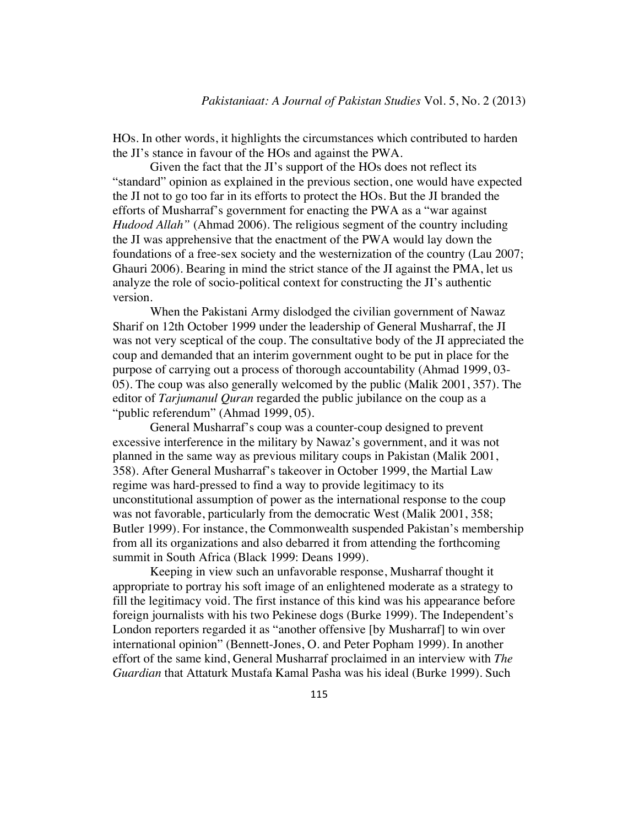HOs. In other words, it highlights the circumstances which contributed to harden the JI's stance in favour of the HOs and against the PWA.

Given the fact that the JI's support of the HOs does not reflect its "standard" opinion as explained in the previous section, one would have expected the JI not to go too far in its efforts to protect the HOs. But the JI branded the efforts of Musharraf's government for enacting the PWA as a "war against *Hudood Allah"* (Ahmad 2006). The religious segment of the country including the JI was apprehensive that the enactment of the PWA would lay down the foundations of a free-sex society and the westernization of the country (Lau 2007; Ghauri 2006). Bearing in mind the strict stance of the JI against the PMA, let us analyze the role of socio-political context for constructing the JI's authentic version.

When the Pakistani Army dislodged the civilian government of Nawaz Sharif on 12th October 1999 under the leadership of General Musharraf, the JI was not very sceptical of the coup. The consultative body of the JI appreciated the coup and demanded that an interim government ought to be put in place for the purpose of carrying out a process of thorough accountability (Ahmad 1999, 03- 05). The coup was also generally welcomed by the public (Malik 2001, 357). The editor of *Tarjumanul Quran* regarded the public jubilance on the coup as a "public referendum" (Ahmad 1999, 05).

General Musharraf's coup was a counter-coup designed to prevent excessive interference in the military by Nawaz's government, and it was not planned in the same way as previous military coups in Pakistan (Malik 2001, 358). After General Musharraf's takeover in October 1999, the Martial Law regime was hard-pressed to find a way to provide legitimacy to its unconstitutional assumption of power as the international response to the coup was not favorable, particularly from the democratic West (Malik 2001, 358; Butler 1999). For instance, the Commonwealth suspended Pakistan's membership from all its organizations and also debarred it from attending the forthcoming summit in South Africa (Black 1999: Deans 1999).

Keeping in view such an unfavorable response, Musharraf thought it appropriate to portray his soft image of an enlightened moderate as a strategy to fill the legitimacy void. The first instance of this kind was his appearance before foreign journalists with his two Pekinese dogs (Burke 1999). The Independent's London reporters regarded it as "another offensive [by Musharraf] to win over international opinion" (Bennett-Jones, O. and Peter Popham 1999). In another effort of the same kind, General Musharraf proclaimed in an interview with *The Guardian* that Attaturk Mustafa Kamal Pasha was his ideal (Burke 1999). Such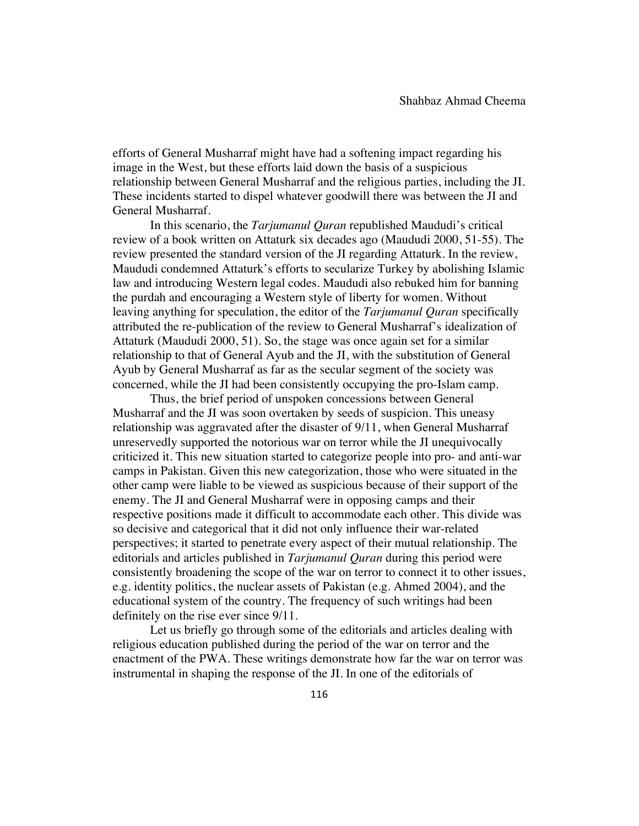efforts of General Musharraf might have had a softening impact regarding his image in the West, but these efforts laid down the basis of a suspicious relationship between General Musharraf and the religious parties, including the JI. These incidents started to dispel whatever goodwill there was between the JI and General Musharraf.

In this scenario, the *Tarjumanul Quran* republished Maududi's critical review of a book written on Attaturk six decades ago (Maududi 2000, 51-55). The review presented the standard version of the JI regarding Attaturk. In the review, Maududi condemned Attaturk's efforts to secularize Turkey by abolishing Islamic law and introducing Western legal codes. Maududi also rebuked him for banning the purdah and encouraging a Western style of liberty for women. Without leaving anything for speculation, the editor of the *Tarjumanul Quran* specifically attributed the re-publication of the review to General Musharraf's idealization of Attaturk (Maududi 2000, 51). So, the stage was once again set for a similar relationship to that of General Ayub and the JI, with the substitution of General Ayub by General Musharraf as far as the secular segment of the society was concerned, while the JI had been consistently occupying the pro-Islam camp.

Thus, the brief period of unspoken concessions between General Musharraf and the JI was soon overtaken by seeds of suspicion. This uneasy relationship was aggravated after the disaster of 9/11, when General Musharraf unreservedly supported the notorious war on terror while the JI unequivocally criticized it. This new situation started to categorize people into pro- and anti-war camps in Pakistan. Given this new categorization, those who were situated in the other camp were liable to be viewed as suspicious because of their support of the enemy. The JI and General Musharraf were in opposing camps and their respective positions made it difficult to accommodate each other. This divide was so decisive and categorical that it did not only influence their war-related perspectives; it started to penetrate every aspect of their mutual relationship. The editorials and articles published in *Tarjumanul Quran* during this period were consistently broadening the scope of the war on terror to connect it to other issues, e.g. identity politics, the nuclear assets of Pakistan (e.g. Ahmed 2004), and the educational system of the country. The frequency of such writings had been definitely on the rise ever since 9/11.

Let us briefly go through some of the editorials and articles dealing with religious education published during the period of the war on terror and the enactment of the PWA. These writings demonstrate how far the war on terror was instrumental in shaping the response of the JI. In one of the editorials of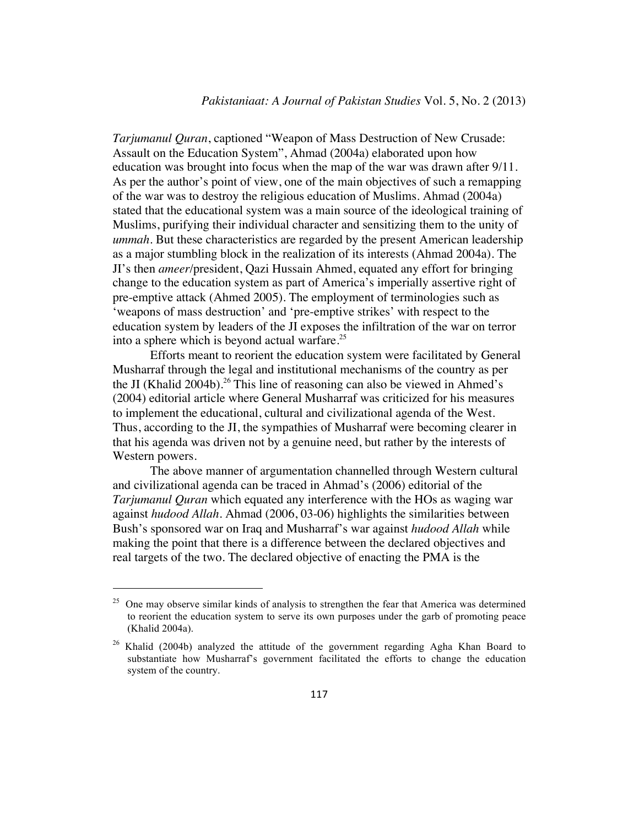*Tarjumanul Quran*, captioned "Weapon of Mass Destruction of New Crusade: Assault on the Education System", Ahmad (2004a) elaborated upon how education was brought into focus when the map of the war was drawn after 9/11. As per the author's point of view, one of the main objectives of such a remapping of the war was to destroy the religious education of Muslims. Ahmad (2004a) stated that the educational system was a main source of the ideological training of Muslims, purifying their individual character and sensitizing them to the unity of *ummah*. But these characteristics are regarded by the present American leadership as a major stumbling block in the realization of its interests (Ahmad 2004a). The JI's then *ameer*/president, Qazi Hussain Ahmed, equated any effort for bringing change to the education system as part of America's imperially assertive right of pre-emptive attack (Ahmed 2005). The employment of terminologies such as 'weapons of mass destruction' and 'pre-emptive strikes' with respect to the education system by leaders of the JI exposes the infiltration of the war on terror into a sphere which is beyond actual warfare.<sup>25</sup>

Efforts meant to reorient the education system were facilitated by General Musharraf through the legal and institutional mechanisms of the country as per the JI (Khalid 2004b).<sup>26</sup> This line of reasoning can also be viewed in Ahmed's (2004) editorial article where General Musharraf was criticized for his measures to implement the educational, cultural and civilizational agenda of the West. Thus, according to the JI, the sympathies of Musharraf were becoming clearer in that his agenda was driven not by a genuine need, but rather by the interests of Western powers.

The above manner of argumentation channelled through Western cultural and civilizational agenda can be traced in Ahmad's (2006) editorial of the *Tarjumanul Quran* which equated any interference with the HOs as waging war against *hudood Allah*. Ahmad (2006, 03-06) highlights the similarities between Bush's sponsored war on Iraq and Musharraf's war against *hudood Allah* while making the point that there is a difference between the declared objectives and real targets of the two. The declared objective of enacting the PMA is the

 $25$  One may observe similar kinds of analysis to strengthen the fear that America was determined to reorient the education system to serve its own purposes under the garb of promoting peace (Khalid 2004a).

<sup>&</sup>lt;sup>26</sup> Khalid (2004b) analyzed the attitude of the government regarding Agha Khan Board to substantiate how Musharraf's government facilitated the efforts to change the education system of the country.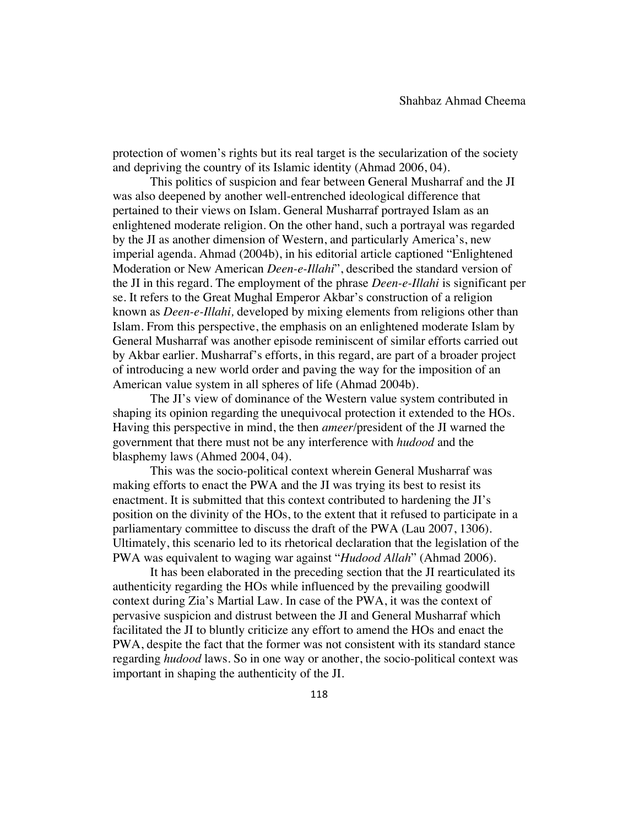protection of women's rights but its real target is the secularization of the society and depriving the country of its Islamic identity (Ahmad 2006, 04).

This politics of suspicion and fear between General Musharraf and the JI was also deepened by another well-entrenched ideological difference that pertained to their views on Islam. General Musharraf portrayed Islam as an enlightened moderate religion. On the other hand, such a portrayal was regarded by the JI as another dimension of Western, and particularly America's, new imperial agenda. Ahmad (2004b), in his editorial article captioned "Enlightened Moderation or New American *Deen-e-Illahi*", described the standard version of the JI in this regard. The employment of the phrase *Deen-e-Illahi* is significant per se. It refers to the Great Mughal Emperor Akbar's construction of a religion known as *Deen-e-Illahi,* developed by mixing elements from religions other than Islam. From this perspective, the emphasis on an enlightened moderate Islam by General Musharraf was another episode reminiscent of similar efforts carried out by Akbar earlier. Musharraf's efforts, in this regard, are part of a broader project of introducing a new world order and paving the way for the imposition of an American value system in all spheres of life (Ahmad 2004b).

The JI's view of dominance of the Western value system contributed in shaping its opinion regarding the unequivocal protection it extended to the HOs. Having this perspective in mind, the then *ameer*/president of the JI warned the government that there must not be any interference with *hudood* and the blasphemy laws (Ahmed 2004, 04).

This was the socio-political context wherein General Musharraf was making efforts to enact the PWA and the JI was trying its best to resist its enactment. It is submitted that this context contributed to hardening the JI's position on the divinity of the HOs, to the extent that it refused to participate in a parliamentary committee to discuss the draft of the PWA (Lau 2007, 1306). Ultimately, this scenario led to its rhetorical declaration that the legislation of the PWA was equivalent to waging war against "*Hudood Allah*" (Ahmad 2006).

It has been elaborated in the preceding section that the JI rearticulated its authenticity regarding the HOs while influenced by the prevailing goodwill context during Zia's Martial Law. In case of the PWA, it was the context of pervasive suspicion and distrust between the JI and General Musharraf which facilitated the JI to bluntly criticize any effort to amend the HOs and enact the PWA, despite the fact that the former was not consistent with its standard stance regarding *hudood* laws. So in one way or another, the socio-political context was important in shaping the authenticity of the JI.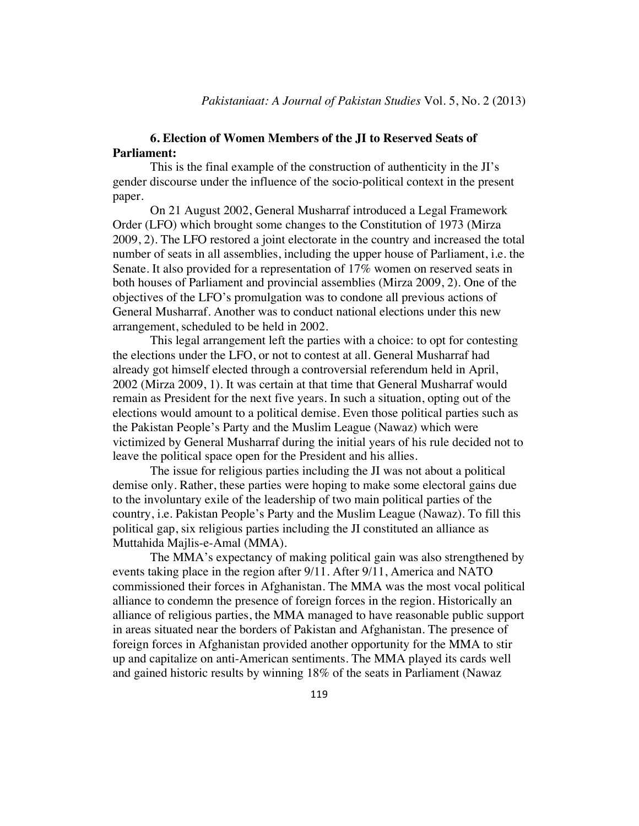## **6. Election of Women Members of the JI to Reserved Seats of Parliament:**

This is the final example of the construction of authenticity in the JI's gender discourse under the influence of the socio-political context in the present paper.

On 21 August 2002, General Musharraf introduced a Legal Framework Order (LFO) which brought some changes to the Constitution of 1973 (Mirza 2009, 2). The LFO restored a joint electorate in the country and increased the total number of seats in all assemblies, including the upper house of Parliament, i.e. the Senate. It also provided for a representation of 17% women on reserved seats in both houses of Parliament and provincial assemblies (Mirza 2009, 2). One of the objectives of the LFO's promulgation was to condone all previous actions of General Musharraf. Another was to conduct national elections under this new arrangement, scheduled to be held in 2002.

This legal arrangement left the parties with a choice: to opt for contesting the elections under the LFO, or not to contest at all. General Musharraf had already got himself elected through a controversial referendum held in April, 2002 (Mirza 2009, 1). It was certain at that time that General Musharraf would remain as President for the next five years. In such a situation, opting out of the elections would amount to a political demise. Even those political parties such as the Pakistan People's Party and the Muslim League (Nawaz) which were victimized by General Musharraf during the initial years of his rule decided not to leave the political space open for the President and his allies.

The issue for religious parties including the JI was not about a political demise only. Rather, these parties were hoping to make some electoral gains due to the involuntary exile of the leadership of two main political parties of the country, i.e. Pakistan People's Party and the Muslim League (Nawaz). To fill this political gap, six religious parties including the JI constituted an alliance as Muttahida Majlis-e-Amal (MMA).

The MMA's expectancy of making political gain was also strengthened by events taking place in the region after 9/11. After 9/11, America and NATO commissioned their forces in Afghanistan. The MMA was the most vocal political alliance to condemn the presence of foreign forces in the region. Historically an alliance of religious parties, the MMA managed to have reasonable public support in areas situated near the borders of Pakistan and Afghanistan. The presence of foreign forces in Afghanistan provided another opportunity for the MMA to stir up and capitalize on anti-American sentiments. The MMA played its cards well and gained historic results by winning 18% of the seats in Parliament (Nawaz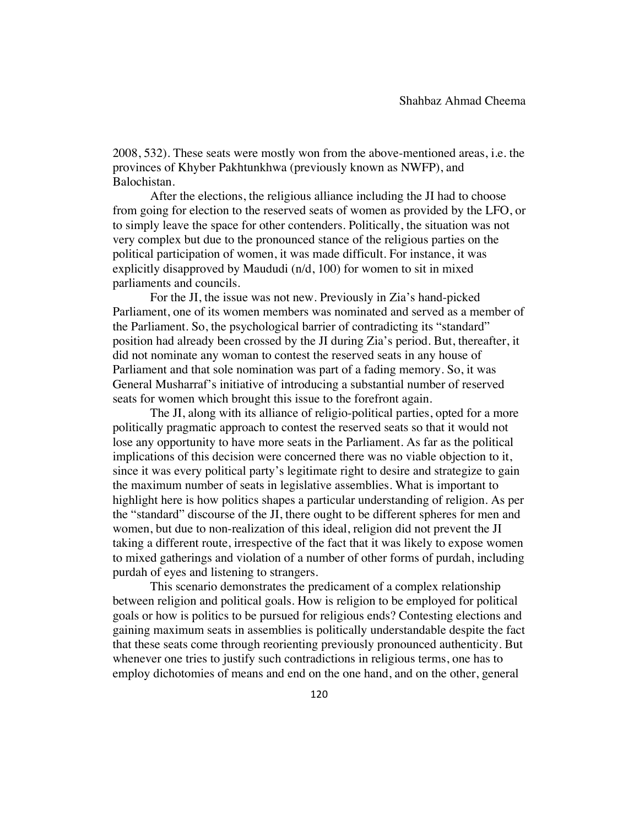2008, 532). These seats were mostly won from the above-mentioned areas, i.e. the provinces of Khyber Pakhtunkhwa (previously known as NWFP), and Balochistan.

After the elections, the religious alliance including the JI had to choose from going for election to the reserved seats of women as provided by the LFO, or to simply leave the space for other contenders. Politically, the situation was not very complex but due to the pronounced stance of the religious parties on the political participation of women, it was made difficult. For instance, it was explicitly disapproved by Maududi (n/d, 100) for women to sit in mixed parliaments and councils.

For the JI, the issue was not new. Previously in Zia's hand-picked Parliament, one of its women members was nominated and served as a member of the Parliament. So, the psychological barrier of contradicting its "standard" position had already been crossed by the JI during Zia's period. But, thereafter, it did not nominate any woman to contest the reserved seats in any house of Parliament and that sole nomination was part of a fading memory. So, it was General Musharraf's initiative of introducing a substantial number of reserved seats for women which brought this issue to the forefront again.

The JI, along with its alliance of religio-political parties, opted for a more politically pragmatic approach to contest the reserved seats so that it would not lose any opportunity to have more seats in the Parliament. As far as the political implications of this decision were concerned there was no viable objection to it, since it was every political party's legitimate right to desire and strategize to gain the maximum number of seats in legislative assemblies. What is important to highlight here is how politics shapes a particular understanding of religion. As per the "standard" discourse of the JI, there ought to be different spheres for men and women, but due to non-realization of this ideal, religion did not prevent the JI taking a different route, irrespective of the fact that it was likely to expose women to mixed gatherings and violation of a number of other forms of purdah, including purdah of eyes and listening to strangers.

This scenario demonstrates the predicament of a complex relationship between religion and political goals. How is religion to be employed for political goals or how is politics to be pursued for religious ends? Contesting elections and gaining maximum seats in assemblies is politically understandable despite the fact that these seats come through reorienting previously pronounced authenticity. But whenever one tries to justify such contradictions in religious terms, one has to employ dichotomies of means and end on the one hand, and on the other, general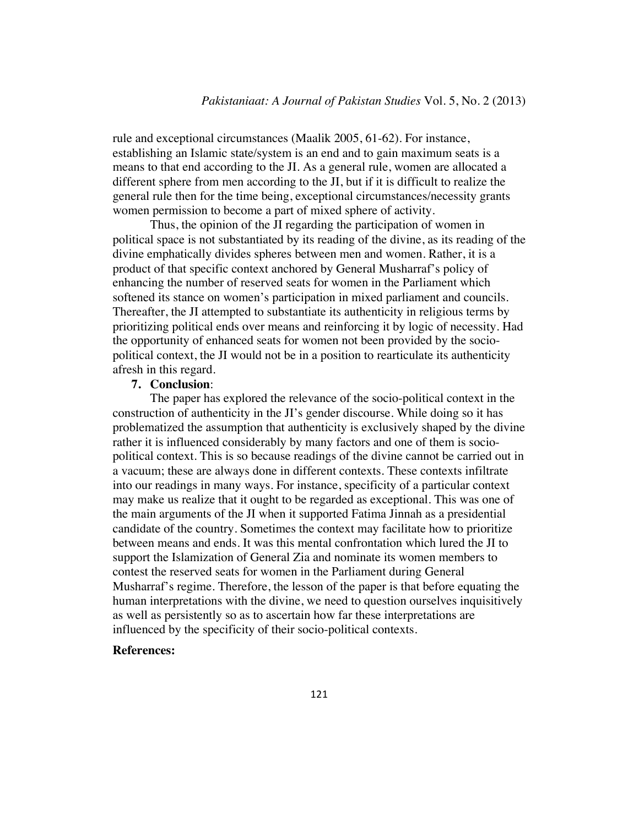rule and exceptional circumstances (Maalik 2005, 61-62). For instance, establishing an Islamic state/system is an end and to gain maximum seats is a means to that end according to the JI. As a general rule, women are allocated a different sphere from men according to the JI, but if it is difficult to realize the general rule then for the time being, exceptional circumstances/necessity grants women permission to become a part of mixed sphere of activity.

Thus, the opinion of the JI regarding the participation of women in political space is not substantiated by its reading of the divine, as its reading of the divine emphatically divides spheres between men and women. Rather, it is a product of that specific context anchored by General Musharraf's policy of enhancing the number of reserved seats for women in the Parliament which softened its stance on women's participation in mixed parliament and councils. Thereafter, the JI attempted to substantiate its authenticity in religious terms by prioritizing political ends over means and reinforcing it by logic of necessity. Had the opportunity of enhanced seats for women not been provided by the sociopolitical context, the JI would not be in a position to rearticulate its authenticity afresh in this regard.

## **7. Conclusion**:

The paper has explored the relevance of the socio-political context in the construction of authenticity in the JI's gender discourse. While doing so it has problematized the assumption that authenticity is exclusively shaped by the divine rather it is influenced considerably by many factors and one of them is sociopolitical context. This is so because readings of the divine cannot be carried out in a vacuum; these are always done in different contexts. These contexts infiltrate into our readings in many ways. For instance, specificity of a particular context may make us realize that it ought to be regarded as exceptional. This was one of the main arguments of the JI when it supported Fatima Jinnah as a presidential candidate of the country. Sometimes the context may facilitate how to prioritize between means and ends. It was this mental confrontation which lured the JI to support the Islamization of General Zia and nominate its women members to contest the reserved seats for women in the Parliament during General Musharraf's regime. Therefore, the lesson of the paper is that before equating the human interpretations with the divine, we need to question ourselves inquisitively as well as persistently so as to ascertain how far these interpretations are influenced by the specificity of their socio-political contexts.

## **References:**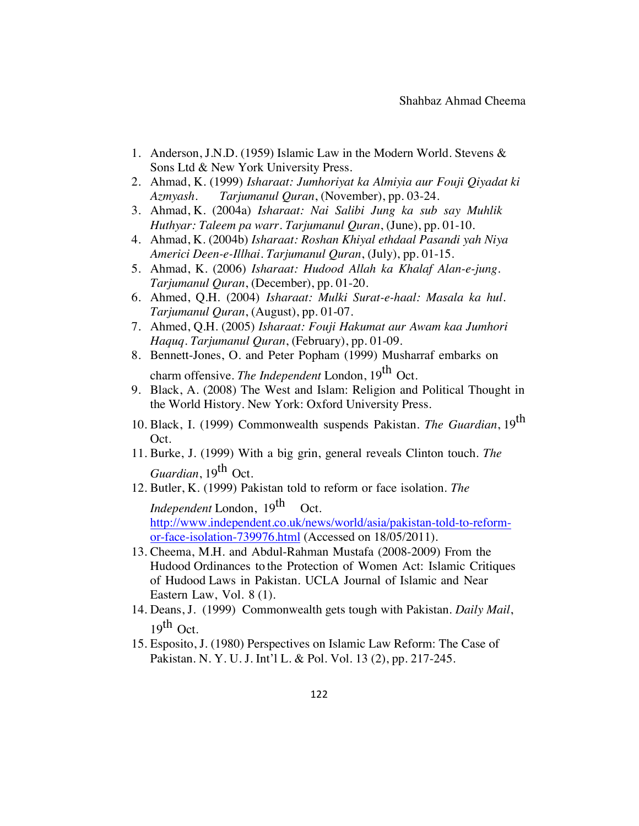- 1. Anderson, J.N.D. (1959) Islamic Law in the Modern World. Stevens & Sons Ltd & New York University Press.
- 2. Ahmad, K. (1999) *Isharaat: Jumhoriyat ka Almiyia aur Fouji Qiyadat ki Azmyash. Tarjumanul Quran*, (November), pp. 03-24.
- 3. Ahmad, K. (2004a) *Isharaat: Nai Salibi Jung ka sub say Muhlik Huthyar: Taleem pa warr. Tarjumanul Quran*, (June), pp. 01-10.
- 4. Ahmad, K. (2004b) *Isharaat: Roshan Khiyal ethdaal Pasandi yah Niya Americi Deen-e-Illhai. Tarjumanul Quran*, (July), pp. 01-15.
- 5. Ahmad, K. (2006) *Isharaat: Hudood Allah ka Khalaf Alan-e-jung. Tarjumanul Quran*, (December), pp. 01-20.
- 6. Ahmed, Q.H. (2004) *Isharaat: Mulki Surat-e-haal: Masala ka hul. Tarjumanul Quran*, (August), pp. 01-07.
- 7. Ahmed, Q.H. (2005) *Isharaat: Fouji Hakumat aur Awam kaa Jumhori Haquq. Tarjumanul Quran*, (February), pp. 01-09.
- 8. Bennett-Jones, O. and Peter Popham (1999) Musharraf embarks on charm offensive. *The Independent* London, 19th Oct.
- 9. Black, A. (2008) The West and Islam: Religion and Political Thought in the World History. New York: Oxford University Press.
- 10. Black, I. (1999) Commonwealth suspends Pakistan. *The Guardian*, 19th Oct.
- 11. Burke, J. (1999) With a big grin, general reveals Clinton touch. *The Guardian*, 19<sup>th</sup> Oct.
- 12. Butler, K. (1999) Pakistan told to reform or face isolation. *The Independent* London, 19<sup>th</sup> Oct. http://www.independent.co.uk/news/world/asia/pakistan-told-to-reformor-face-isolation-739976.html (Accessed on 18/05/2011).
- 13. Cheema, M.H. and Abdul-Rahman Mustafa (2008-2009) From the Hudood Ordinances to the Protection of Women Act: Islamic Critiques of Hudood Laws in Pakistan. UCLA Journal of Islamic and Near Eastern Law, Vol. 8 (1).
- 14. Deans, J. (1999) Commonwealth gets tough with Pakistan. *Daily Mail*,  $19^{\text{th}}$  Oct.
- 15. Esposito, J. (1980) Perspectives on Islamic Law Reform: The Case of Pakistan. N. Y. U. J. Int'l L. & Pol. Vol. 13 (2), pp. 217-245.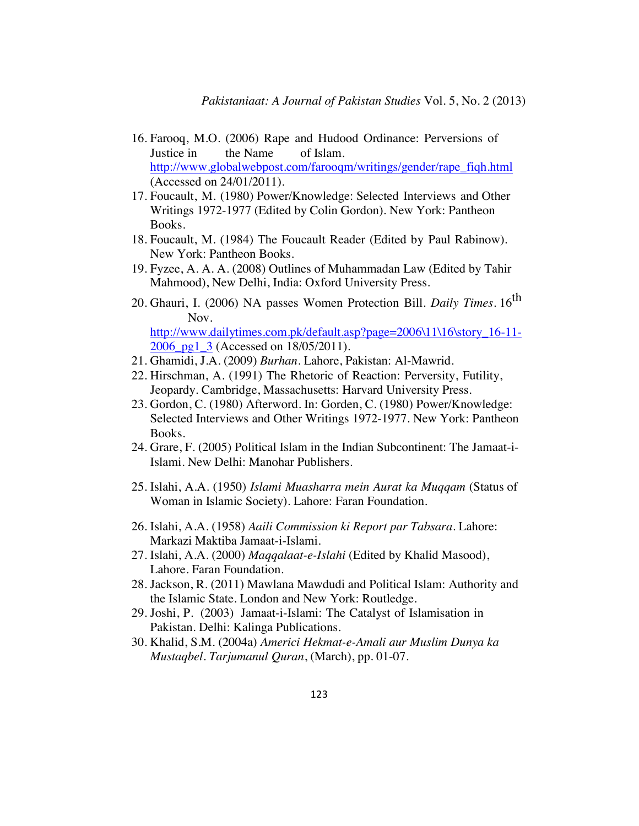- 16. Farooq, M.O. (2006) Rape and Hudood Ordinance: Perversions of Justice in the Name of Islam. http://www.globalwebpost.com/farooqm/writings/gender/rape\_fiqh.html (Accessed on 24/01/2011).
- 17. Foucault, M. (1980) Power/Knowledge: Selected Interviews and Other Writings 1972-1977 (Edited by Colin Gordon). New York: Pantheon Books.
- 18. Foucault, M. (1984) The Foucault Reader (Edited by Paul Rabinow). New York: Pantheon Books.
- 19. Fyzee, A. A. A. (2008) Outlines of Muhammadan Law (Edited by Tahir Mahmood), New Delhi, India: Oxford University Press.
- 20. Ghauri, I. (2006) NA passes Women Protection Bill. *Daily Times*. 16th Nov.

http://www.dailytimes.com.pk/default.asp?page=2006\11\16\story\_16-11-2006 pg1 3 (Accessed on 18/05/2011).

- 21. Ghamidi, J.A. (2009) *Burhan*. Lahore, Pakistan: Al-Mawrid.
- 22. Hirschman, A. (1991) The Rhetoric of Reaction: Perversity, Futility, Jeopardy. Cambridge, Massachusetts: Harvard University Press.
- 23. Gordon, C. (1980) Afterword. In: Gorden, C. (1980) Power/Knowledge: Selected Interviews and Other Writings 1972-1977. New York: Pantheon Books.
- 24. Grare, F. (2005) Political Islam in the Indian Subcontinent: The Jamaat-i-Islami. New Delhi: Manohar Publishers.
- 25. Islahi, A.A. (1950) *Islami Muasharra mein Aurat ka Muqqam* (Status of Woman in Islamic Society). Lahore: Faran Foundation.
- 26. Islahi, A.A. (1958) *Aaili Commission ki Report par Tabsara*. Lahore: Markazi Maktiba Jamaat-i-Islami.
- 27. Islahi, A.A. (2000) *Maqqalaat-e-Islahi* (Edited by Khalid Masood), Lahore. Faran Foundation.
- 28. Jackson, R. (2011) Mawlana Mawdudi and Political Islam: Authority and the Islamic State. London and New York: Routledge.
- 29. Joshi, P. (2003) Jamaat-i-Islami: The Catalyst of Islamisation in Pakistan. Delhi: Kalinga Publications.
- 30. Khalid, S.M. (2004a) *Americi Hekmat-e-Amali aur Muslim Dunya ka Mustaqbel. Tarjumanul Quran*, (March), pp. 01-07.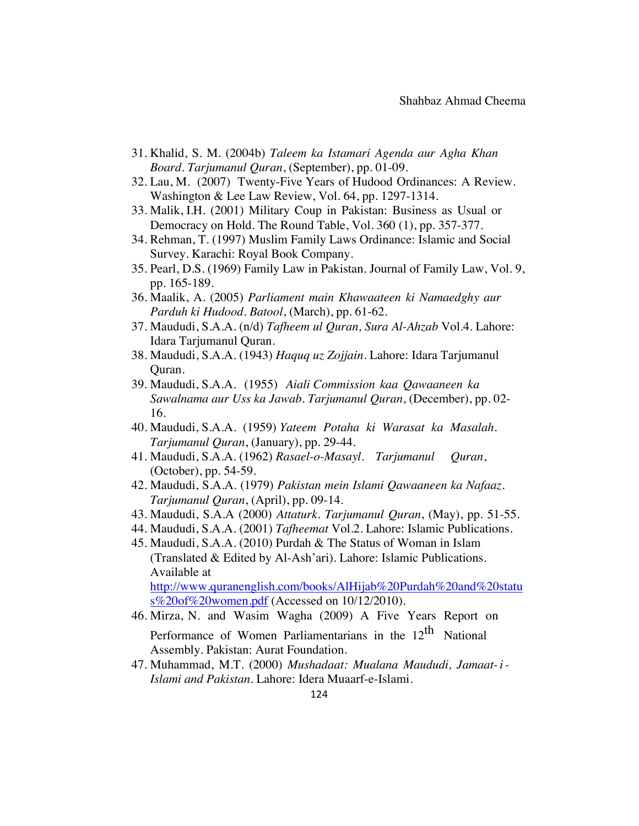- 31. Khalid, S. M. (2004b) *Taleem ka Istamari Agenda aur Agha Khan Board. Tarjumanul Quran*, (September), pp. 01-09.
- 32. Lau, M. (2007) Twenty-Five Years of Hudood Ordinances: A Review. Washington & Lee Law Review, Vol. 64, pp. 1297-1314.
- 33. Malik, I.H. (2001) Military Coup in Pakistan: Business as Usual or Democracy on Hold. The Round Table, Vol. 360 (1), pp. 357-377.
- 34. Rehman, T. (1997) Muslim Family Laws Ordinance: Islamic and Social Survey. Karachi: Royal Book Company.
- 35. Pearl, D.S. (1969) Family Law in Pakistan. Journal of Family Law, Vol. 9, pp. 165-189.
- 36. Maalik, A. (2005) *Parliament main Khawaateen ki Namaedghy aur Parduh ki Hudood. Batool*, (March), pp. 61-62.
- 37. Maududi, S.A.A. (n/d) *Tafheem ul Quran, Sura Al-Ahzab* Vol.4. Lahore: Idara Tarjumanul Quran.
- 38. Maududi, S.A.A. (1943) *Haquq uz Zojjain*. Lahore: Idara Tarjumanul Quran.
- 39. Maududi, S.A.A. (1955) *Aiali Commission kaa Qawaaneen ka Sawalnama aur Uss ka Jawab. Tarjumanul Quran*, (December), pp. 02- 16.
- 40. Maududi, S.A.A. (1959) *Yateem Potaha ki Warasat ka Masalah. Tarjumanul Quran*, (January), pp. 29-44.
- 41. Maududi, S.A.A. (1962) *Rasael-o-Masayl. Tarjumanul Quran*, (October), pp. 54-59.
- 42. Maududi, S.A.A. (1979) *Pakistan mein Islami Qawaaneen ka Nafaaz. Tarjumanul Quran*, (April), pp. 09-14.
- 43. Maududi, S.A.A (2000) *Attaturk. Tarjumanul Quran*, (May), pp. 51-55.
- 44. Maududi, S.A.A. (2001) *Tafheemat* Vol.2. Lahore: Islamic Publications.
- 45. Maududi, S.A.A. (2010) Purdah & The Status of Woman in Islam (Translated & Edited by Al-Ash'ari). Lahore: Islamic Publications. Available at http://www.quranenglish.com/books/AlHijab%20Purdah%20and%20statu s%20of%20women.pdf (Accessed on 10/12/2010).
- 46. Mirza, N. and Wasim Wagha (2009) A Five Years Report on Performance of Women Parliamentarians in the  $12<sup>th</sup>$  National Assembly. Pakistan: Aurat Foundation.
- 47. Muhammad, M.T. (2000) *Mushadaat: Mualana Maududi, Jamaat-i-Islami and Pakistan*. Lahore: Idera Muaarf-e-Islami.